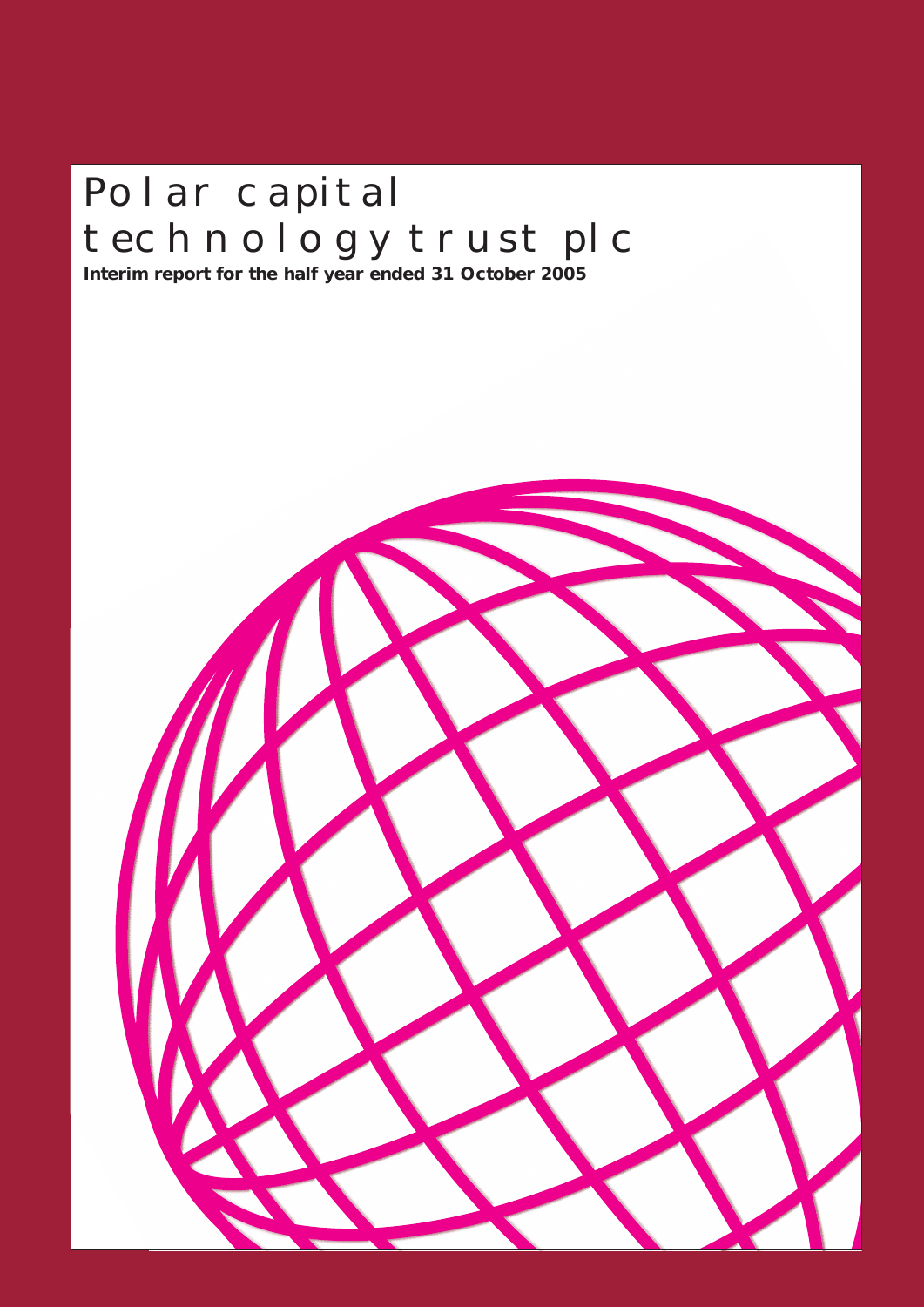# POLAR CAPITAL TECHNOLOGY TRUST PLC

**Interim report for the half year ended 31 October 2005**

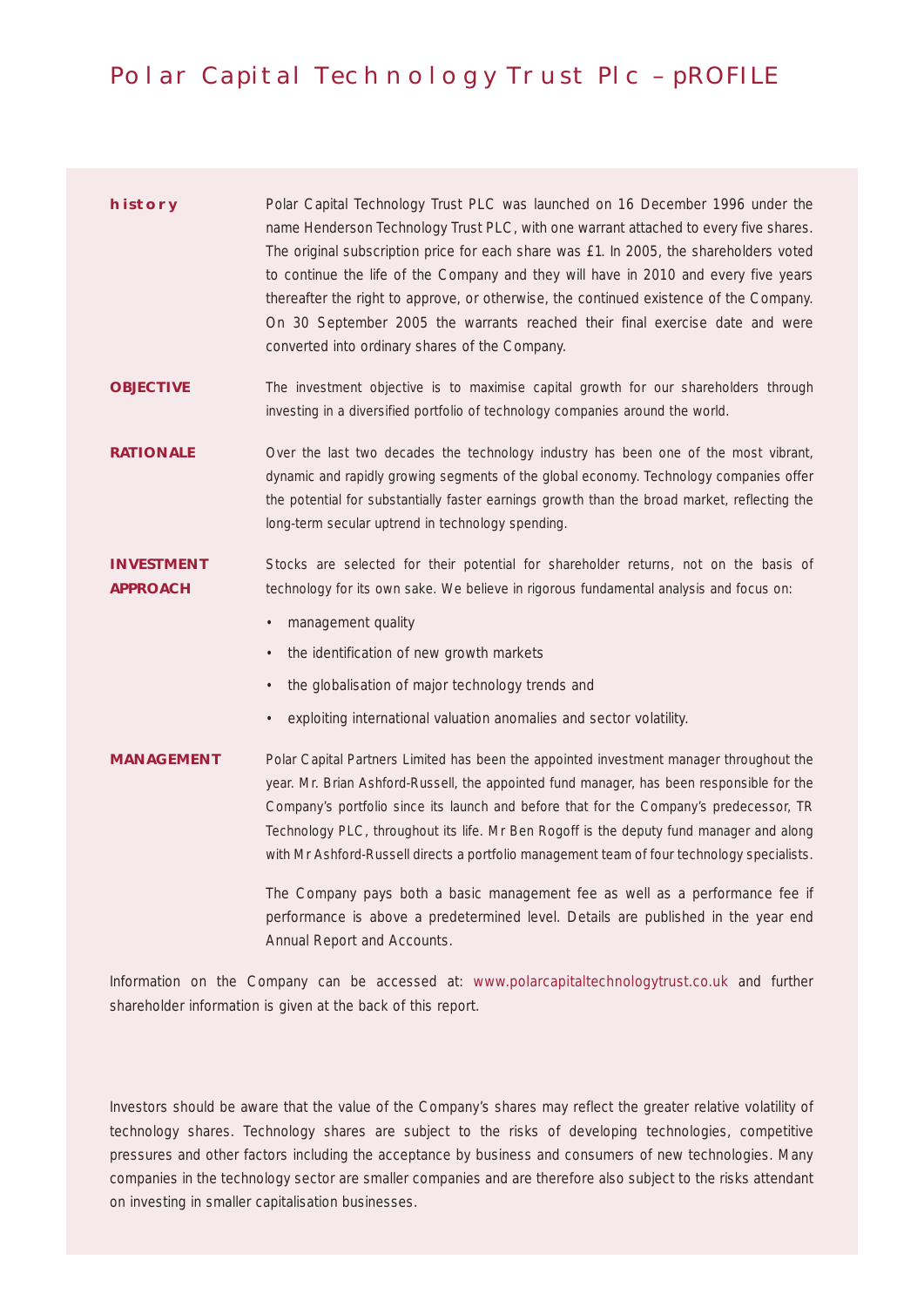# Polar Capital Technology Trust Plc – pROFILE

| <b>HISTORY</b> | Polar Capital Technology Trust PLC was launched on 16 December 1996 under the          |
|----------------|----------------------------------------------------------------------------------------|
|                | name Henderson Technology Trust PLC, with one warrant attached to every five shares.   |
|                | The original subscription price for each share was £1. In 2005, the shareholders voted |
|                | to continue the life of the Company and they will have in 2010 and every five years    |
|                | thereafter the right to approve, or otherwise, the continued existence of the Company. |
|                | On 30 September 2005 the warrants reached their final exercise date and were           |
|                | converted into ordinary shares of the Company.                                         |

**OBJECTIVE** The investment objective is to maximise capital growth for our shareholders through investing in a diversified portfolio of technology companies around the world.

**RATIONALE** Over the last two decades the technology industry has been one of the most vibrant, dynamic and rapidly growing segments of the global economy. Technology companies offer the potential for substantially faster earnings growth than the broad market, reflecting the long-term secular uptrend in technology spending.

**INVESTMENT** Stocks are selected for their potential for shareholder returns, not on the basis of **APPROACH** technology for its own sake. We believe in rigorous fundamental analysis and focus on:

- management quality
- the identification of new growth markets
- the globalisation of major technology trends and
- exploiting international valuation anomalies and sector volatility.

**MANAGEMENT** Polar Capital Partners Limited has been the appointed investment manager throughout the year. Mr. Brian Ashford-Russell, the appointed fund manager, has been responsible for the Company's portfolio since its launch and before that for the Company's predecessor, TR Technology PLC, throughout its life. Mr Ben Rogoff is the deputy fund manager and along with Mr Ashford-Russell directs a portfolio management team of four technology specialists.

> The Company pays both a basic management fee as well as a performance fee if performance is above a predetermined level. Details are published in the year end Annual Report and Accounts.

Information on the Company can be accessed at: www.polarcapitaltechnologytrust.co.uk and further shareholder information is given at the back of this report.

Investors should be aware that the value of the Company's shares may reflect the greater relative volatility of technology shares. Technology shares are subject to the risks of developing technologies, competitive pressures and other factors including the acceptance by business and consumers of new technologies. Many companies in the technology sector are smaller companies and are therefore also subject to the risks attendant on investing in smaller capitalisation businesses.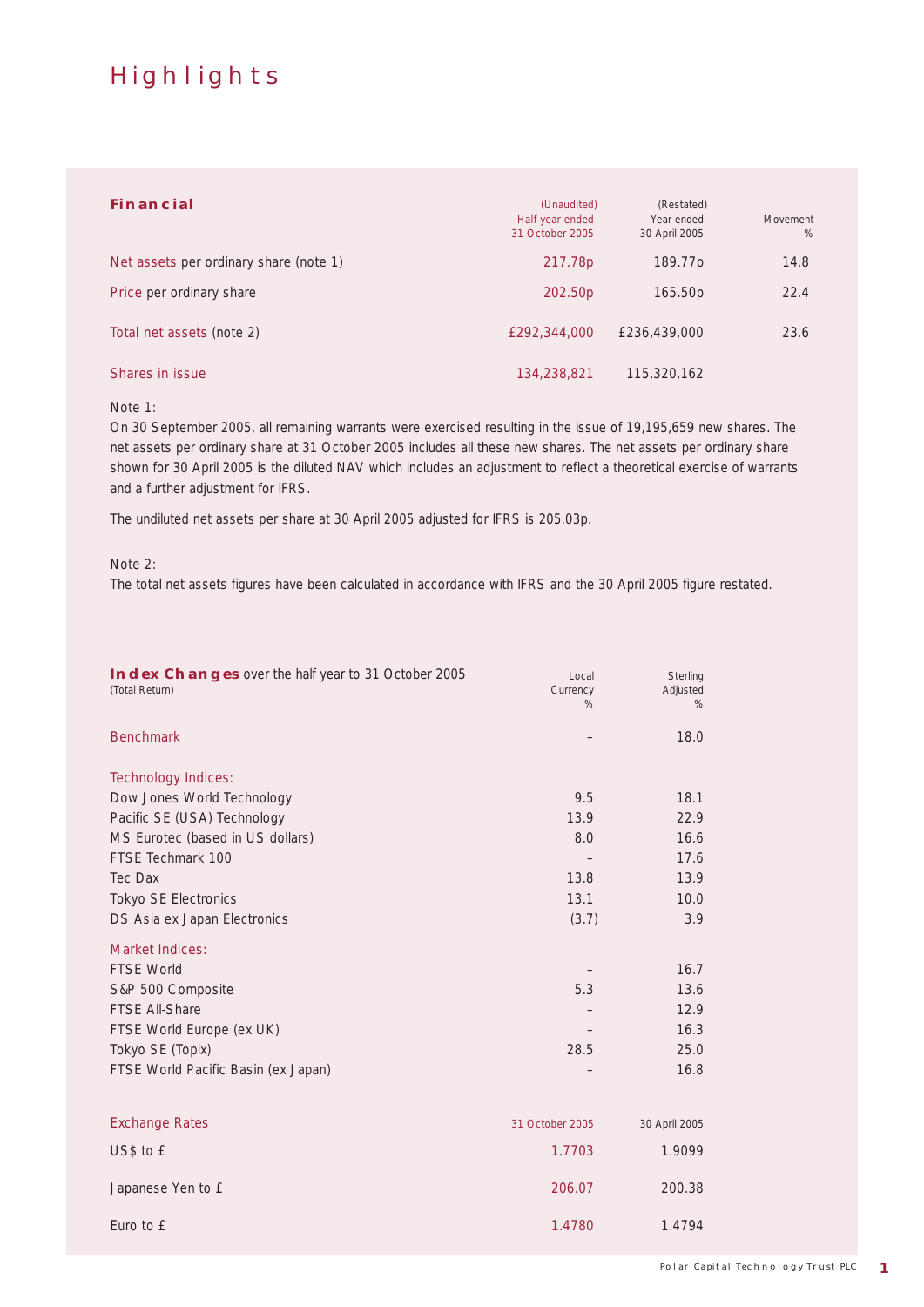# **HIGHLIGHTS**

| <b>FINANCIAL</b>                       | (Unaudited)<br>Half year ended<br>31 October 2005 | (Restated)<br>Year ended<br>30 April 2005 | Movement<br>$\%$ |
|----------------------------------------|---------------------------------------------------|-------------------------------------------|------------------|
| Net assets per ordinary share (note 1) | 217.78p                                           | 189.77p                                   | 14.8             |
| <b>Price per ordinary share</b>        | 202.50p                                           | 165.50p                                   | 22.4             |
| Total net assets (note 2)              | £292,344,000                                      | £236,439,000                              | 23.6             |
| Shares in issue                        | 134,238,821                                       | 115,320,162                               |                  |

### Note 1:

On 30 September 2005, all remaining warrants were exercised resulting in the issue of 19,195,659 new shares. The net assets per ordinary share at 31 October 2005 includes all these new shares. The net assets per ordinary share shown for 30 April 2005 is the diluted NAV which includes an adjustment to reflect a theoretical exercise of warrants and a further adjustment for IFRS.

The undiluted net assets per share at 30 April 2005 adjusted for IFRS is 205.03p.

#### Note 2:

The total net assets figures have been calculated in accordance with IFRS and the 30 April 2005 figure restated.

| <b>Benchmark</b><br>18.0<br><b>Technology Indices:</b><br>Dow Jones World Technology<br>9.5<br>18.1<br>13.9<br>Pacific SE (USA) Technology<br>22.9<br>MS Eurotec (based in US dollars)<br>8.0<br>16.6<br>FTSE Techmark 100<br>17.6<br>Tec Dax<br>13.8<br>13.9<br><b>Tokyo SE Electronics</b><br>13.1<br>10.0<br>DS Asia ex Japan Electronics<br>(3.7)<br>3.9<br><b>Market Indices:</b><br><b>FTSE World</b><br>16.7<br>5.3<br>S&P 500 Composite<br>13.6<br><b>FTSE All-Share</b><br>12.9<br>16.3<br>FTSE World Europe (ex UK)<br>Tokyo SE (Topix)<br>28.5<br>25.0<br>16.8<br>FTSE World Pacific Basin (ex Japan)<br><b>Exchange Rates</b><br>31 October 2005<br>30 April 2005<br>US\$ to £<br>1.7703<br>1.9099<br>Japanese Yen to £<br>206.07<br>200.38<br>Euro to £<br>1.4780<br>1.4794 | <b>INDEX CHANGES</b> over the half year to 31 October 2005<br>(Total Return) | Local<br>Currency<br>% | Sterling<br>Adjusted<br>% |
|------------------------------------------------------------------------------------------------------------------------------------------------------------------------------------------------------------------------------------------------------------------------------------------------------------------------------------------------------------------------------------------------------------------------------------------------------------------------------------------------------------------------------------------------------------------------------------------------------------------------------------------------------------------------------------------------------------------------------------------------------------------------------------------|------------------------------------------------------------------------------|------------------------|---------------------------|
|                                                                                                                                                                                                                                                                                                                                                                                                                                                                                                                                                                                                                                                                                                                                                                                          |                                                                              |                        |                           |
|                                                                                                                                                                                                                                                                                                                                                                                                                                                                                                                                                                                                                                                                                                                                                                                          |                                                                              |                        |                           |
|                                                                                                                                                                                                                                                                                                                                                                                                                                                                                                                                                                                                                                                                                                                                                                                          |                                                                              |                        |                           |
|                                                                                                                                                                                                                                                                                                                                                                                                                                                                                                                                                                                                                                                                                                                                                                                          |                                                                              |                        |                           |
|                                                                                                                                                                                                                                                                                                                                                                                                                                                                                                                                                                                                                                                                                                                                                                                          |                                                                              |                        |                           |
|                                                                                                                                                                                                                                                                                                                                                                                                                                                                                                                                                                                                                                                                                                                                                                                          |                                                                              |                        |                           |
|                                                                                                                                                                                                                                                                                                                                                                                                                                                                                                                                                                                                                                                                                                                                                                                          |                                                                              |                        |                           |
|                                                                                                                                                                                                                                                                                                                                                                                                                                                                                                                                                                                                                                                                                                                                                                                          |                                                                              |                        |                           |
|                                                                                                                                                                                                                                                                                                                                                                                                                                                                                                                                                                                                                                                                                                                                                                                          |                                                                              |                        |                           |
|                                                                                                                                                                                                                                                                                                                                                                                                                                                                                                                                                                                                                                                                                                                                                                                          |                                                                              |                        |                           |
|                                                                                                                                                                                                                                                                                                                                                                                                                                                                                                                                                                                                                                                                                                                                                                                          |                                                                              |                        |                           |
|                                                                                                                                                                                                                                                                                                                                                                                                                                                                                                                                                                                                                                                                                                                                                                                          |                                                                              |                        |                           |
|                                                                                                                                                                                                                                                                                                                                                                                                                                                                                                                                                                                                                                                                                                                                                                                          |                                                                              |                        |                           |
|                                                                                                                                                                                                                                                                                                                                                                                                                                                                                                                                                                                                                                                                                                                                                                                          |                                                                              |                        |                           |
|                                                                                                                                                                                                                                                                                                                                                                                                                                                                                                                                                                                                                                                                                                                                                                                          |                                                                              |                        |                           |
|                                                                                                                                                                                                                                                                                                                                                                                                                                                                                                                                                                                                                                                                                                                                                                                          |                                                                              |                        |                           |
|                                                                                                                                                                                                                                                                                                                                                                                                                                                                                                                                                                                                                                                                                                                                                                                          |                                                                              |                        |                           |
|                                                                                                                                                                                                                                                                                                                                                                                                                                                                                                                                                                                                                                                                                                                                                                                          |                                                                              |                        |                           |
|                                                                                                                                                                                                                                                                                                                                                                                                                                                                                                                                                                                                                                                                                                                                                                                          |                                                                              |                        |                           |
|                                                                                                                                                                                                                                                                                                                                                                                                                                                                                                                                                                                                                                                                                                                                                                                          |                                                                              |                        |                           |
|                                                                                                                                                                                                                                                                                                                                                                                                                                                                                                                                                                                                                                                                                                                                                                                          |                                                                              |                        |                           |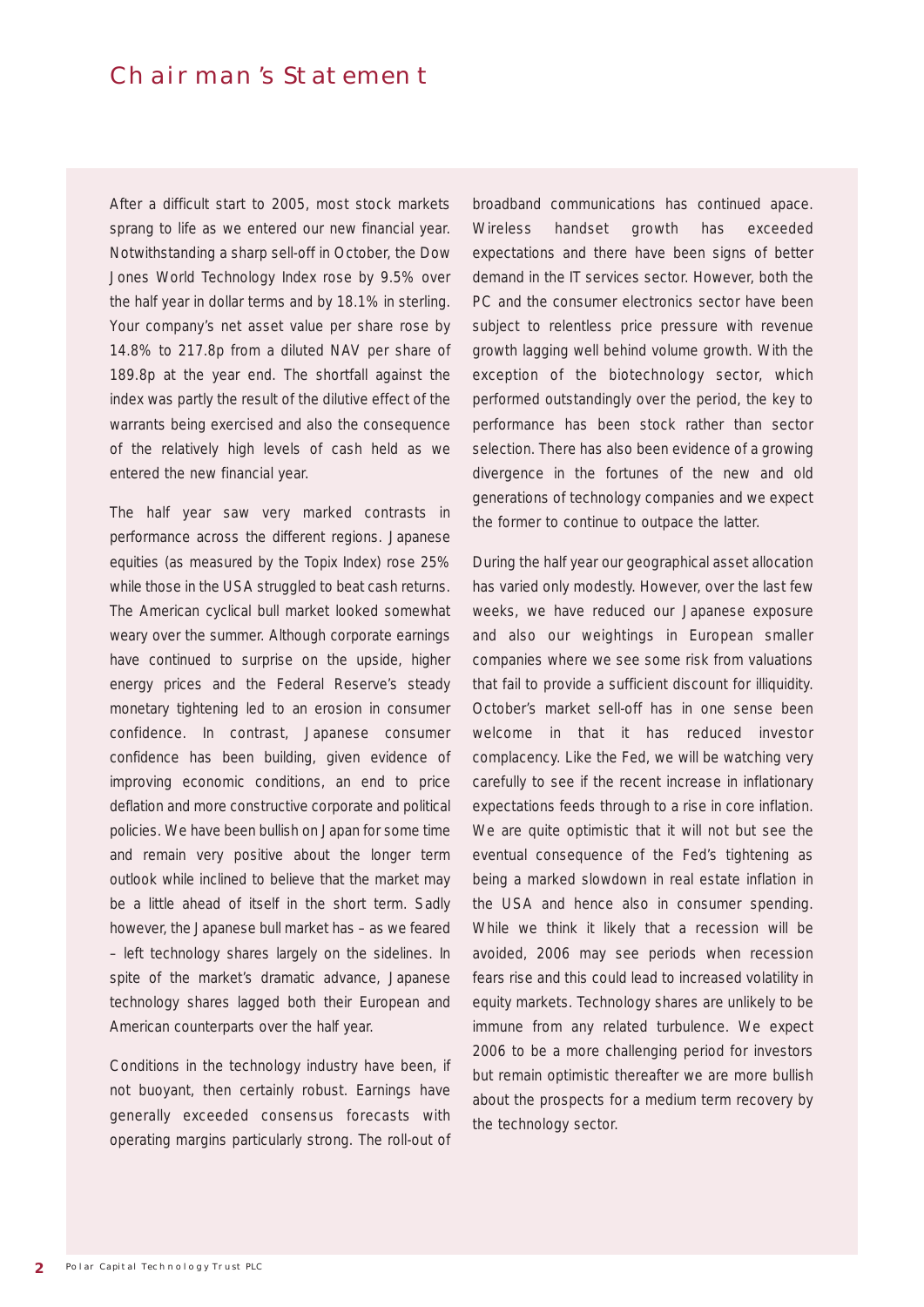# CHAIRMAN'S STATEMENT

After a difficult start to 2005, most stock markets sprang to life as we entered our new financial year. Notwithstanding a sharp sell-off in October, the Dow Jones World Technology Index rose by 9.5% over the half year in dollar terms and by 18.1% in sterling. Your company's net asset value per share rose by 14.8% to 217.8p from a diluted NAV per share of 189.8p at the year end. The shortfall against the index was partly the result of the dilutive effect of the warrants being exercised and also the consequence of the relatively high levels of cash held as we entered the new financial year.

The half year saw very marked contrasts in performance across the different regions. Japanese equities (as measured by the Topix Index) rose 25% while those in the USA struggled to beat cash returns. The American cyclical bull market looked somewhat weary over the summer. Although corporate earnings have continued to surprise on the upside, higher energy prices and the Federal Reserve's steady monetary tightening led to an erosion in consumer confidence. In contrast, Japanese consumer confidence has been building, given evidence of improving economic conditions, an end to price deflation and more constructive corporate and political policies. We have been bullish on Japan for some time and remain very positive about the longer term outlook while inclined to believe that the market may be a little ahead of itself in the short term. Sadly however, the Japanese bull market has – as we feared – left technology shares largely on the sidelines. In spite of the market's dramatic advance, Japanese technology shares lagged both their European and American counterparts over the half year.

Conditions in the technology industry have been, if not buoyant, then certainly robust. Earnings have generally exceeded consensus forecasts with operating margins particularly strong. The roll-out of

broadband communications has continued apace. Wireless handset growth has exceeded expectations and there have been signs of better demand in the IT services sector. However, both the PC and the consumer electronics sector have been subject to relentless price pressure with revenue growth lagging well behind volume growth. With the exception of the biotechnology sector, which performed outstandingly over the period, the key to performance has been stock rather than sector selection. There has also been evidence of a growing divergence in the fortunes of the new and old generations of technology companies and we expect the former to continue to outpace the latter.

During the half year our geographical asset allocation has varied only modestly. However, over the last few weeks, we have reduced our Japanese exposure and also our weightings in European smaller companies where we see some risk from valuations that fail to provide a sufficient discount for illiquidity. October's market sell-off has in one sense been welcome in that it has reduced investor complacency. Like the Fed, we will be watching very carefully to see if the recent increase in inflationary expectations feeds through to a rise in core inflation. We are quite optimistic that it will not but see the eventual consequence of the Fed's tightening as being a marked slowdown in real estate inflation in the USA and hence also in consumer spending. While we think it likely that a recession will be avoided, 2006 may see periods when recession fears rise and this could lead to increased volatility in equity markets. Technology shares are unlikely to be immune from any related turbulence. We expect 2006 to be a more challenging period for investors but remain optimistic thereafter we are more bullish about the prospects for a medium term recovery by the technology sector.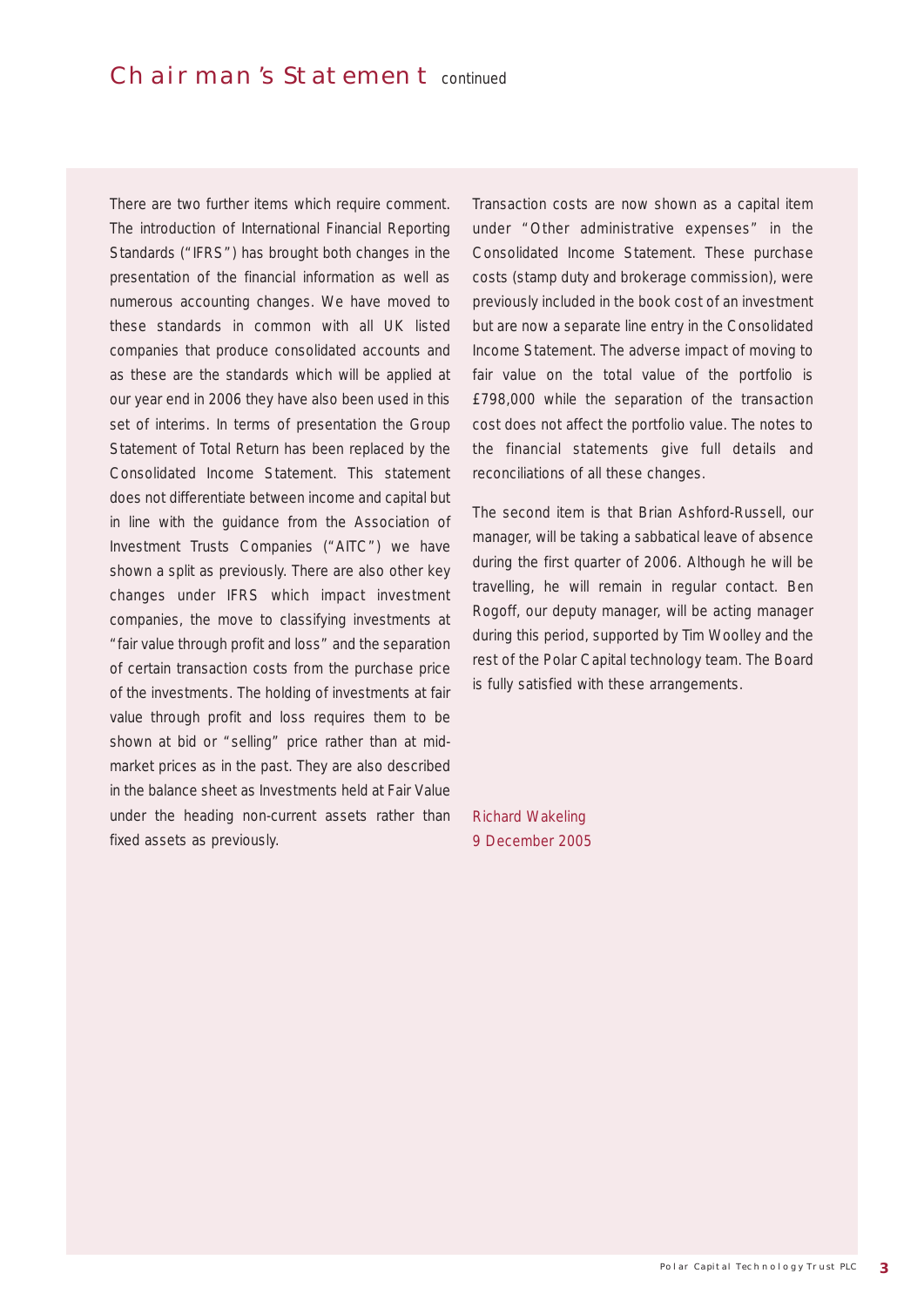There are two further items which require comment. The introduction of International Financial Reporting Standards ("IFRS") has brought both changes in the presentation of the financial information as well as numerous accounting changes. We have moved to these standards in common with all UK listed companies that produce consolidated accounts and as these are the standards which will be applied at our year end in 2006 they have also been used in this set of interims. In terms of presentation the Group Statement of Total Return has been replaced by the Consolidated Income Statement. This statement does not differentiate between income and capital but in line with the guidance from the Association of Investment Trusts Companies ("AITC") we have shown a split as previously. There are also other key changes under IFRS which impact investment companies, the move to classifying investments at "fair value through profit and loss" and the separation of certain transaction costs from the purchase price of the investments. The holding of investments at fair value through profit and loss requires them to be shown at bid or "selling" price rather than at midmarket prices as in the past. They are also described in the balance sheet as Investments held at Fair Value under the heading non-current assets rather than fixed assets as previously.

Transaction costs are now shown as a capital item under "Other administrative expenses" in the Consolidated Income Statement. These purchase costs (stamp duty and brokerage commission), were previously included in the book cost of an investment but are now a separate line entry in the Consolidated Income Statement. The adverse impact of moving to fair value on the total value of the portfolio is £798,000 while the separation of the transaction cost does not affect the portfolio value. The notes to the financial statements give full details and reconciliations of all these changes.

The second item is that Brian Ashford-Russell, our manager, will be taking a sabbatical leave of absence during the first quarter of 2006. Although he will be travelling, he will remain in regular contact. Ben Rogoff, our deputy manager, will be acting manager during this period, supported by Tim Woolley and the rest of the Polar Capital technology team. The Board is fully satisfied with these arrangements.

Richard Wakeling 9 December 2005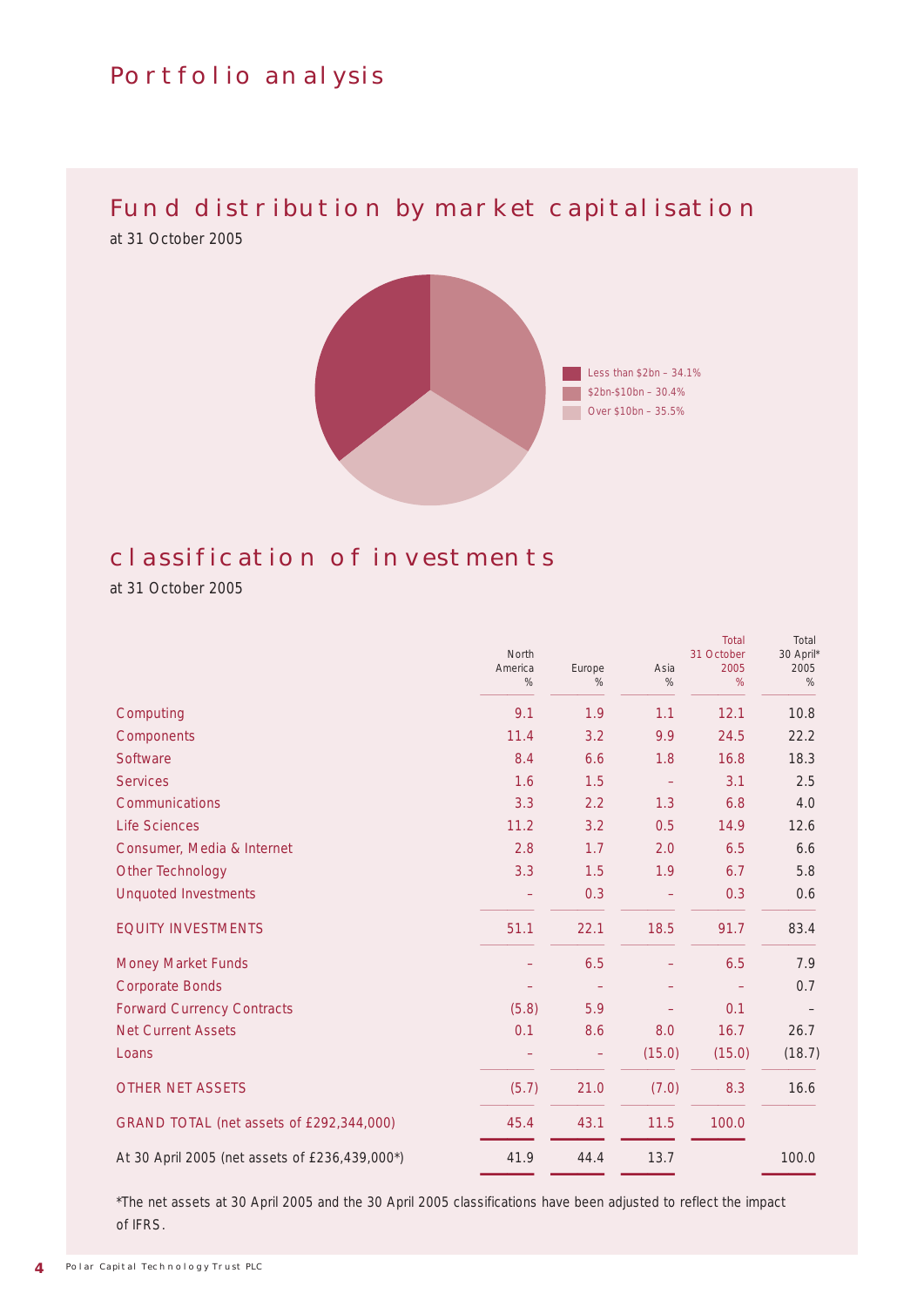# Portfolio analysis

# FUND DISTRIBUTION BY MARKET CAPITALISATION

at 31 October 2005



# classification of investments

at 31 October 2005

|                                                | North<br>America<br>$\%$ | Europe<br>$\%$ | Asia<br>$\%$ | <b>Total</b><br>31 October<br>2005<br>% | Total<br>30 April*<br>2005<br>$\%$ |
|------------------------------------------------|--------------------------|----------------|--------------|-----------------------------------------|------------------------------------|
| Computing                                      | 9.1                      | 1.9            | 1.1          | 12.1                                    | 10.8                               |
| <b>Components</b>                              | 11.4                     | 3.2            | 9.9          | 24.5                                    | 22.2                               |
| <b>Software</b>                                | 8.4                      | 6.6            | 1.8          | 16.8                                    | 18.3                               |
| <b>Services</b>                                | 1.6                      | 1.5            |              | 3.1                                     | 2.5                                |
| <b>Communications</b>                          | 3.3                      | 2.2            | 1.3          | 6.8                                     | 4.0                                |
| <b>Life Sciences</b>                           | 11.2                     | 3.2            | 0.5          | 14.9                                    | 12.6                               |
| Consumer, Media & Internet                     | 2.8                      | 1.7            | 2.0          | 6.5                                     | 6.6                                |
| <b>Other Technology</b>                        | 3.3                      | 1.5            | 1.9          | 6.7                                     | 5.8                                |
| <b>Unquoted Investments</b>                    |                          | 0.3            |              | 0.3                                     | 0.6                                |
| <b>EQUITY INVESTMENTS</b>                      | 51.1                     | 22.1           | 18.5         | 91.7                                    | 83.4                               |
| <b>Money Market Funds</b>                      |                          | 6.5            |              | 6.5                                     | 7.9                                |
| <b>Corporate Bonds</b>                         |                          |                |              |                                         | 0.7                                |
| <b>Forward Currency Contracts</b>              | (5.8)                    | 5.9            |              | 0.1                                     |                                    |
| <b>Net Current Assets</b>                      | 0.1                      | 8.6            | 8.0          | 16.7                                    | 26.7                               |
| Loans                                          |                          | -              | (15.0)       | (15.0)                                  | (18.7)                             |
| <b>OTHER NET ASSETS</b>                        | (5.7)                    | 21.0           | (7.0)        | 8.3                                     | 16.6                               |
| GRAND TOTAL (net assets of £292,344,000)       | 45.4                     | 43.1           | 11.5         | 100.0                                   |                                    |
| At 30 April 2005 (net assets of £236,439,000*) | 41.9                     | 44.4           | 13.7         |                                         | 100.0                              |

\*The net assets at 30 April 2005 and the 30 April 2005 classifications have been adjusted to reflect the impact of IFRS.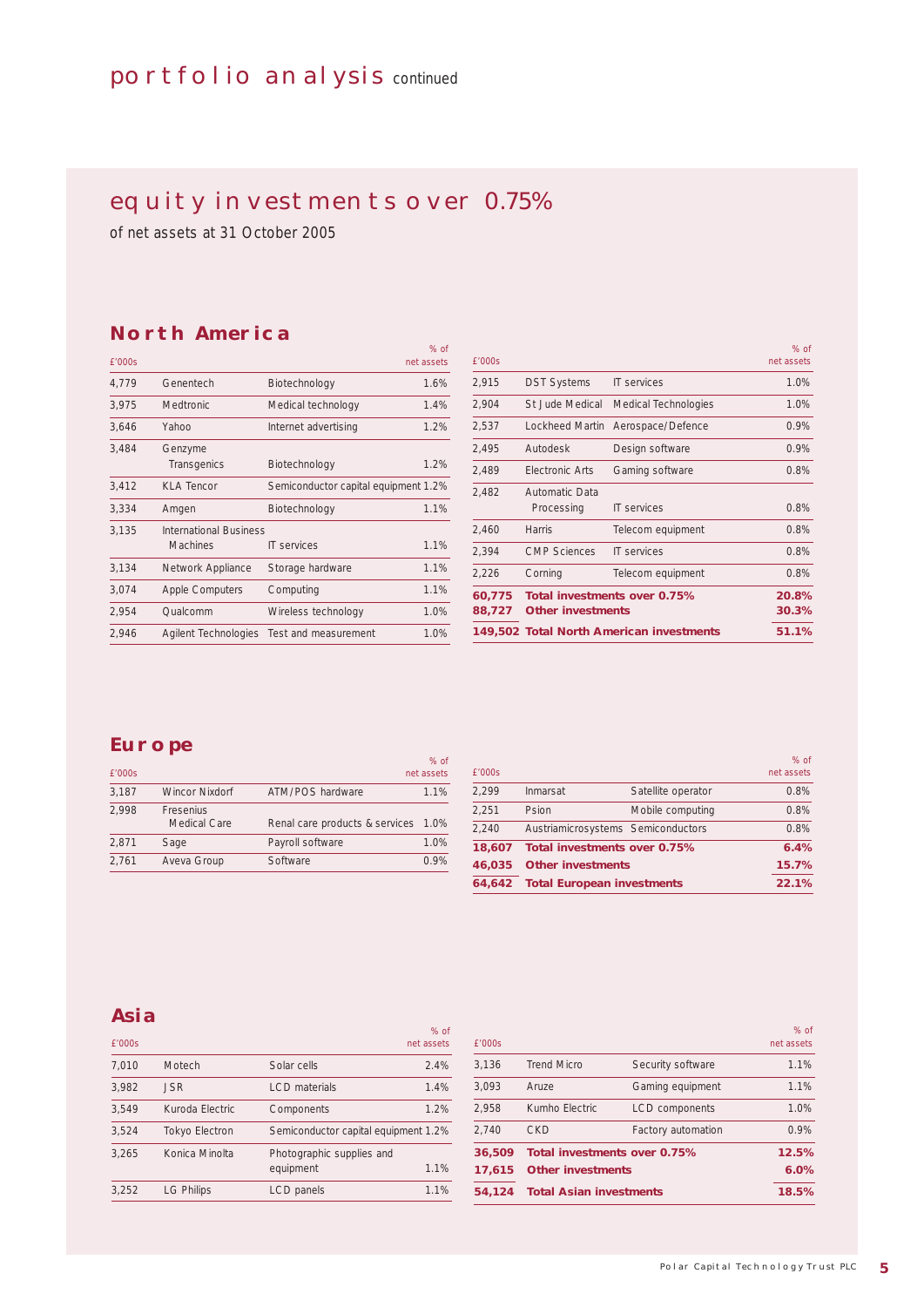# PORTFOLIO ANALYSIS continued

# EQUITY INVESTMENTS OVER 0.75%

 $\alpha$  of

of net assets at 31 October 2005

## **North America**

| £'000s |                                                  |                                      | net assets |
|--------|--------------------------------------------------|--------------------------------------|------------|
| 4,779  | Genentech                                        | Biotechnology                        | 1.6%       |
| 3,975  | Medtronic                                        | Medical technology                   | 1.4%       |
| 3,646  | Yahoo                                            | Internet advertising                 | 1.2%       |
| 3,484  | Genzyme<br>Transgenics                           | Biotechnology                        | 1.2%       |
| 3,412  | <b>KLA Tencor</b>                                | Semiconductor capital equipment 1.2% |            |
| 3,334  | Amgen                                            | Biotechnology                        | 1.1%       |
| 3,135  | <b>International Business</b><br><b>Machines</b> | <b>IT services</b>                   | 1.1%       |
| 3,134  | Network Appliance                                | Storage hardware                     | 1.1%       |
| 3,074  | <b>Apple Computers</b>                           | Computing                            | 1.1%       |
| 2,954  | Qualcomm                                         | Wireless technology                  | 1.0%       |
| 2,946  | Agilent Technologies                             | Test and measurement                 | 1.0%       |

| 88,727 | <b>Other investments</b>     |                                     | 30.3%                |
|--------|------------------------------|-------------------------------------|----------------------|
| 60,775 |                              | <b>Total investments over 0.75%</b> | 20.8%                |
| 2,226  | Corning                      | Telecom equipment                   | 0.8%                 |
| 2.394  | <b>CMP Sciences</b>          | <b>IT services</b>                  | 0.8%                 |
| 2,460  | Harris                       | Telecom equipment                   | 0.8%                 |
| 2,482  | Automatic Data<br>Processing | <b>IT services</b>                  | 0.8%                 |
| 2.489  | <b>Flectronic Arts</b>       | Gaming software                     | 0.8%                 |
| 2,495  | Autodesk                     | Design software                     | 0.9%                 |
| 2,537  | Lockheed Martin              | Aerospace/Defence                   | 0.9%                 |
| 2,904  | St Jude Medical              | Medical Technologies                | 1.0%                 |
| 2,915  | <b>DST Systems</b>           | <b>IT services</b>                  | 1.0%                 |
| f'000s |                              |                                     | $%$ of<br>net assets |

### **Europe**

| £'000s |                           |                                     | $%$ of<br>net assets |
|--------|---------------------------|-------------------------------------|----------------------|
| 3,187  | <b>Wincor Nixdorf</b>     | ATM/POS hardware                    | 1.1%                 |
| 2.998  | Fresenius<br>Medical Care | Renal care products & services 1.0% |                      |
| 2,871  | Sage                      | Payroll software                    | 1.0%                 |
| 2,761  | Aveva Group               | Software                            | 0.9%                 |

| £'000s |                                    |                    | $%$ of<br>net assets |
|--------|------------------------------------|--------------------|----------------------|
| 2.299  | Inmarsat                           | Satellite operator | 0.8%                 |
| 2.251  | Psion                              | Mobile computing   | 0.8%                 |
| 2.240  | Austriamicrosystems Semiconductors |                    | 0.8%                 |
| 18,607 | Total investments over 0.75%       |                    | 6.4%                 |
| 46,035 | <b>Other investments</b>           |                    | 15.7%                |
| 64.642 | <b>Total European investments</b>  |                    | 22.1%                |

# **Asia**

| £'000s |                       |                                        | $%$ of<br>net assets |
|--------|-----------------------|----------------------------------------|----------------------|
| 7,010  | Motech                | Solar cells                            | 2.4%                 |
| 3.982  | <b>JSR</b>            | <b>LCD</b> materials                   | 1.4%                 |
| 3.549  | Kuroda Electric       | Components                             | 1.2%                 |
| 3.524  | <b>Tokyo Electron</b> | Semiconductor capital equipment 1.2%   |                      |
| 3.265  | Konica Minolta        | Photographic supplies and<br>equipment | 1.1%                 |
| 3.252  | <b>LG Philips</b>     | LCD panels                             | 1.1%                 |

| 54.124 | <b>Total Asian investments</b>      |                       | 18.5%                |
|--------|-------------------------------------|-----------------------|----------------------|
| 17,615 | <b>Other investments</b>            |                       | 6.0%                 |
| 36,509 | <b>Total investments over 0.75%</b> |                       | 12.5%                |
| 2.740  | <b>CKD</b>                          | Factory automation    | 0.9%                 |
| 2.958  | Kumho Electric                      | <b>LCD</b> components | 1.0%                 |
| 3.093  | Aruze                               | Gaming equipment      | 1.1%                 |
| 3,136  | <b>Trend Micro</b>                  | Security software     | 1.1%                 |
| £'000s |                                     |                       | $%$ of<br>net assets |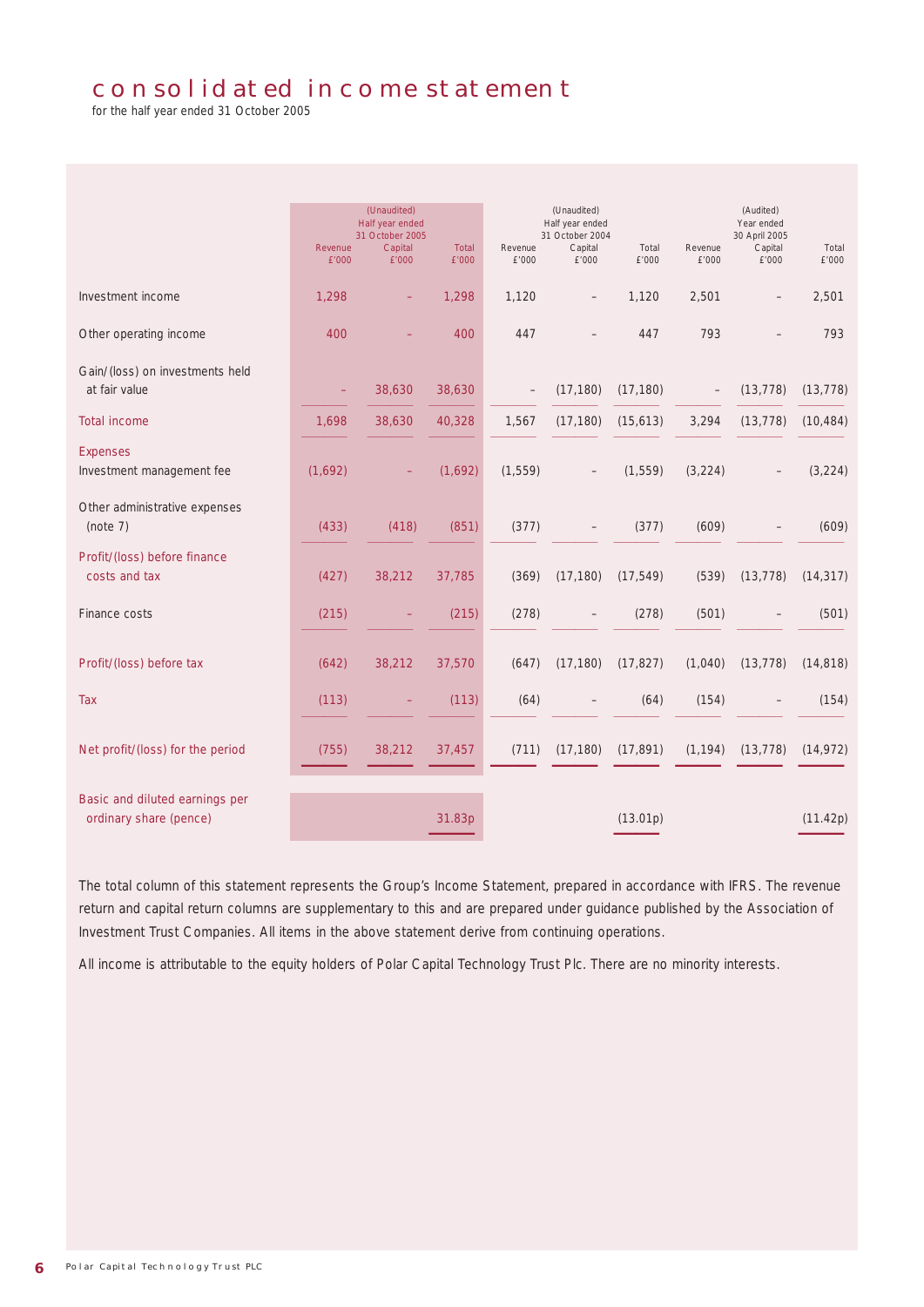# consolidated income statement

for the half year ended 31 October 2005

|                                                          | Revenue<br>£'000 | (Unaudited)<br>Half year ended<br>31 October 2005<br>Capital<br>£'000 | <b>Total</b><br>£'000 | Revenue<br>£'000 | (Unaudited)<br>Half year ended<br>31 October 2004<br>Capital<br>£'000 | Total<br>£'000 | Revenue<br>£'000 | (Audited)<br>Year ended<br>30 April 2005<br>Capital<br>£'000 | Total<br>£'000 |
|----------------------------------------------------------|------------------|-----------------------------------------------------------------------|-----------------------|------------------|-----------------------------------------------------------------------|----------------|------------------|--------------------------------------------------------------|----------------|
| Investment income                                        | 1,298            |                                                                       | 1,298                 | 1,120            |                                                                       | 1,120          | 2,501            |                                                              | 2,501          |
| Other operating income                                   | 400              |                                                                       | 400                   | 447              |                                                                       | 447            | 793              | $\overline{\phantom{0}}$                                     | 793            |
| Gain/(loss) on investments held<br>at fair value         |                  | 38,630                                                                | 38,630                |                  | (17, 180)                                                             | (17, 180)      |                  | (13, 778)                                                    | (13, 778)      |
| <b>Total income</b>                                      | 1,698            | 38,630                                                                | 40,328                | 1,567            | (17, 180)                                                             | (15,613)       | 3,294            | (13, 778)                                                    | (10, 484)      |
| <b>Expenses</b><br>Investment management fee             | (1,692)          |                                                                       | (1,692)               | (1, 559)         |                                                                       | (1, 559)       | (3, 224)         |                                                              | (3, 224)       |
| Other administrative expenses<br>(note 7)                | (433)            | (418)                                                                 | (851)                 | (377)            |                                                                       | (377)          | (609)            |                                                              | (609)          |
| Profit/(loss) before finance<br>costs and tax            | (427)            | 38,212                                                                | 37,785                | (369)            | (17, 180)                                                             | (17, 549)      | (539)            | (13, 778)                                                    | (14, 317)      |
| Finance costs                                            | (215)            |                                                                       | (215)                 | (278)            |                                                                       | (278)          | (501)            |                                                              | (501)          |
| Profit/(loss) before tax                                 | (642)            | 38,212                                                                | 37,570                | (647)            | (17, 180)                                                             | (17, 827)      | (1,040)          | (13, 778)                                                    | (14, 818)      |
| <b>Tax</b>                                               | (113)            |                                                                       | (113)                 | (64)             |                                                                       | (64)           | (154)            |                                                              | (154)          |
| Net profit/(loss) for the period                         | (755)            | 38,212                                                                | 37,457                | (711)            | (17, 180)                                                             | (17, 891)      | (1, 194)         | (13, 778)                                                    | (14, 972)      |
| Basic and diluted earnings per<br>ordinary share (pence) |                  |                                                                       | 31.83p                |                  |                                                                       | (13.01p)       |                  |                                                              | (11.42p)       |

The total column of this statement represents the Group's Income Statement, prepared in accordance with IFRS. The revenue return and capital return columns are supplementary to this and are prepared under guidance published by the Association of Investment Trust Companies. All items in the above statement derive from continuing operations.

All income is attributable to the equity holders of Polar Capital Technology Trust Plc. There are no minority interests.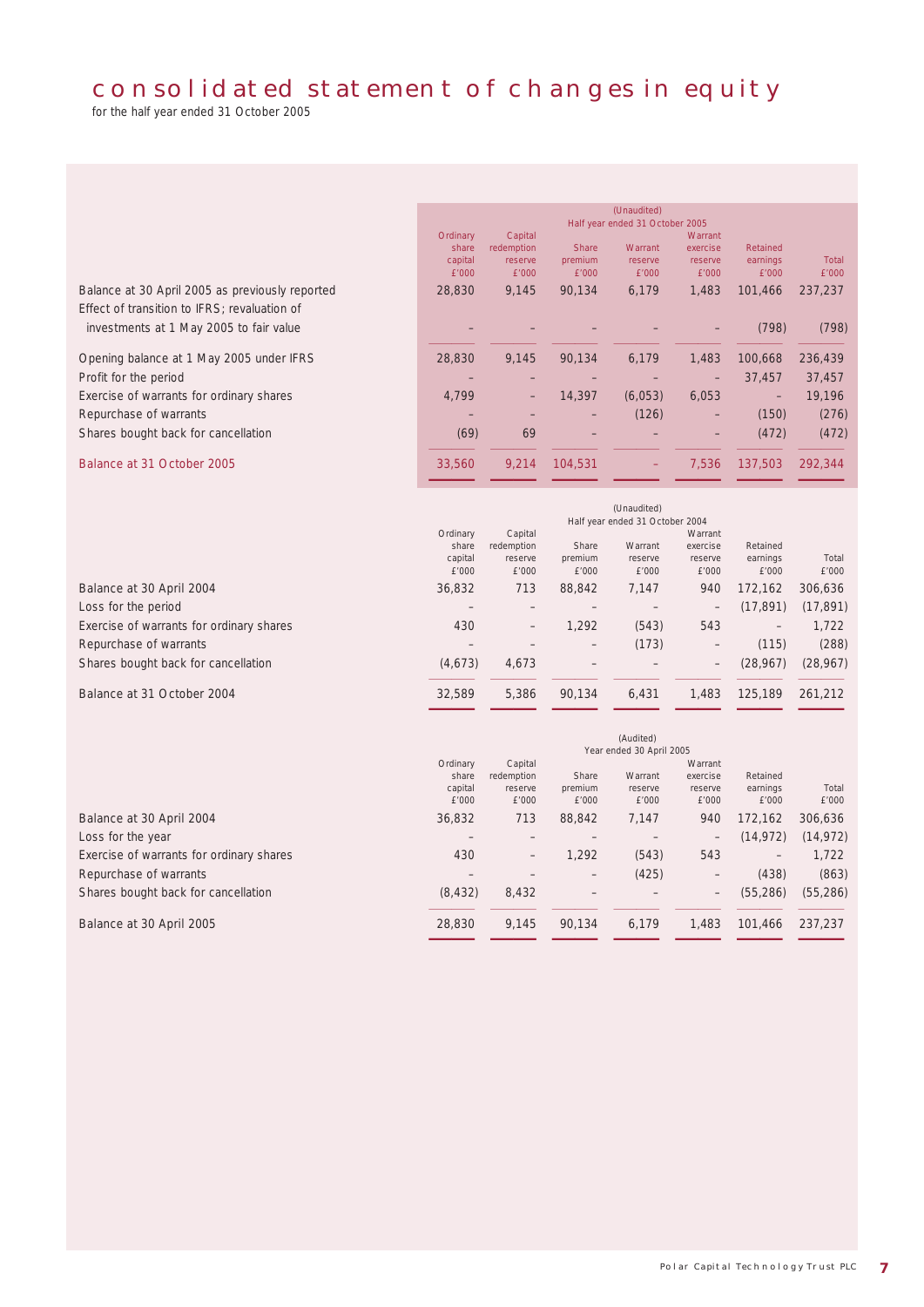# consolidated statement of changes in equity

for the half year ended 31 October 2005

|                                                 | (Unaudited)                     |                       |                                                                                                                                                                                                                                                                                                                                                                                    |         |                     |          |              |
|-------------------------------------------------|---------------------------------|-----------------------|------------------------------------------------------------------------------------------------------------------------------------------------------------------------------------------------------------------------------------------------------------------------------------------------------------------------------------------------------------------------------------|---------|---------------------|----------|--------------|
|                                                 | Half year ended 31 October 2005 |                       |                                                                                                                                                                                                                                                                                                                                                                                    |         |                     |          |              |
|                                                 | Ordinary<br>share               | Capital<br>redemption | <b>Share</b>                                                                                                                                                                                                                                                                                                                                                                       | Warrant | Warrant<br>exercise | Retained |              |
|                                                 | capital                         | reserve               | premium                                                                                                                                                                                                                                                                                                                                                                            | reserve | reserve             | earnings | <b>Total</b> |
|                                                 | £'000                           | f'000                 | £'000                                                                                                                                                                                                                                                                                                                                                                              | £'000   | £'000               | £'000    | £'000        |
| Balance at 30 April 2005 as previously reported | 28,830                          | 9.145                 | 90.134                                                                                                                                                                                                                                                                                                                                                                             | 6,179   | 1.483               | 101.466  | 237,237      |
| Effect of transition to IFRS; revaluation of    |                                 |                       |                                                                                                                                                                                                                                                                                                                                                                                    |         |                     |          |              |
| investments at 1 May 2005 to fair value         |                                 |                       |                                                                                                                                                                                                                                                                                                                                                                                    |         |                     | (798)    | (798)        |
|                                                 |                                 |                       |                                                                                                                                                                                                                                                                                                                                                                                    |         |                     |          |              |
| Opening balance at 1 May 2005 under IFRS        | 28,830                          | 9.145                 | 90.134                                                                                                                                                                                                                                                                                                                                                                             | 6,179   | 1.483               | 100.668  | 236,439      |
| Profit for the period                           |                                 |                       |                                                                                                                                                                                                                                                                                                                                                                                    |         | $\qquad \qquad -$   | 37.457   | 37,457       |
| Exercise of warrants for ordinary shares        | 4,799                           | $\qquad \qquad -$     | 14,397                                                                                                                                                                                                                                                                                                                                                                             | (6,053) | 6,053               | -        | 19,196       |
| Repurchase of warrants                          |                                 |                       | $\hspace{1.0cm} \hspace{1.0cm} \hspace{1.0cm} \hspace{1.0cm} \hspace{1.0cm} \hspace{1.0cm} \hspace{1.0cm} \hspace{1.0cm} \hspace{1.0cm} \hspace{1.0cm} \hspace{1.0cm} \hspace{1.0cm} \hspace{1.0cm} \hspace{1.0cm} \hspace{1.0cm} \hspace{1.0cm} \hspace{1.0cm} \hspace{1.0cm} \hspace{1.0cm} \hspace{1.0cm} \hspace{1.0cm} \hspace{1.0cm} \hspace{1.0cm} \hspace{1.0cm} \hspace{$ | (126)   | $\qquad \qquad -$   | (150)    | (276)        |
| Shares bought back for cancellation             | (69)                            | 69                    |                                                                                                                                                                                                                                                                                                                                                                                    |         | $\qquad \qquad -$   | (472)    | (472)        |
|                                                 |                                 |                       |                                                                                                                                                                                                                                                                                                                                                                                    |         |                     |          |              |
| Balance at 31 October 2005                      | 33,560                          | 9,214                 | 104,531                                                                                                                                                                                                                                                                                                                                                                            | -       | 7,536               | 137,503  | 292,344      |
|                                                 |                                 |                       |                                                                                                                                                                                                                                                                                                                                                                                    |         |                     |          |              |

|                                          | Ordinary<br>share<br>capital<br>£'000 | Capital<br>redemption<br>reserve<br>£'000 | (Unaudited)<br>Half year ended 31 October 2004<br>Warrant<br>Share<br>Warrant<br>exercise<br>Retained<br>earnings<br>premium<br>reserve<br>reserve<br>£'000<br>E'000<br>£'000<br>£'000 |       |                   |                   | Total<br>£'000 |
|------------------------------------------|---------------------------------------|-------------------------------------------|----------------------------------------------------------------------------------------------------------------------------------------------------------------------------------------|-------|-------------------|-------------------|----------------|
| Balance at 30 April 2004                 | 36,832                                | 713                                       | 88,842                                                                                                                                                                                 | 7,147 | 940               | 172.162           | 306.636        |
| Loss for the period                      |                                       |                                           |                                                                                                                                                                                        |       | $\qquad \qquad -$ | (17, 891)         | (17, 891)      |
| Exercise of warrants for ordinary shares | 430                                   | $\overline{\phantom{m}}$                  | 1,292                                                                                                                                                                                  | (543) | 543               | $\qquad \qquad -$ | 1,722          |
| Repurchase of warrants                   |                                       |                                           | -                                                                                                                                                                                      | (173) | -                 | (115)             | (288)          |
| Shares bought back for cancellation      | (4,673)                               | 4,673                                     |                                                                                                                                                                                        |       | $\qquad \qquad -$ | (28.967)          | (28, 967)      |
| Balance at 31 October 2004               | 32,589                                | 5,386                                     | 90.134                                                                                                                                                                                 | 6,431 | 1,483             | 125,189           | 261,212        |

|                                          | (Audited)<br>Year ended 30 April 2005 |                                           |                           |                             |                                         |                               |                |
|------------------------------------------|---------------------------------------|-------------------------------------------|---------------------------|-----------------------------|-----------------------------------------|-------------------------------|----------------|
|                                          | Ordinary<br>share<br>capital<br>£'000 | Capital<br>redemption<br>reserve<br>£'000 | Share<br>premium<br>E'000 | Warrant<br>reserve<br>£'000 | Warrant<br>exercise<br>reserve<br>£'000 | Retained<br>earnings<br>£'000 | Total<br>£'000 |
| Balance at 30 April 2004                 | 36,832                                | 713                                       | 88,842                    | 7,147                       | 940                                     | 172.162                       | 306,636        |
| Loss for the year                        | $\overline{\phantom{0}}$              |                                           |                           |                             | $\qquad \qquad -$                       | (14, 972)                     | (14, 972)      |
| Exercise of warrants for ordinary shares | 430                                   | -                                         | .292                      | (543)                       | 543                                     | $\overline{\phantom{m}}$      | 1.722          |
| Repurchase of warrants                   |                                       |                                           | $\qquad \qquad -$         | (425)                       | $\qquad \qquad -$                       | (438)                         | (863)          |
| Shares bought back for cancellation      | (8, 432)                              | 8,432                                     |                           |                             | $\overline{\phantom{m}}$                | (55, 286)                     | (55, 286)      |
| Balance at 30 April 2005                 | 28,830                                | 9,145                                     | 90.134                    | 6,179                       | 1,483                                   | 101,466                       | 237,237        |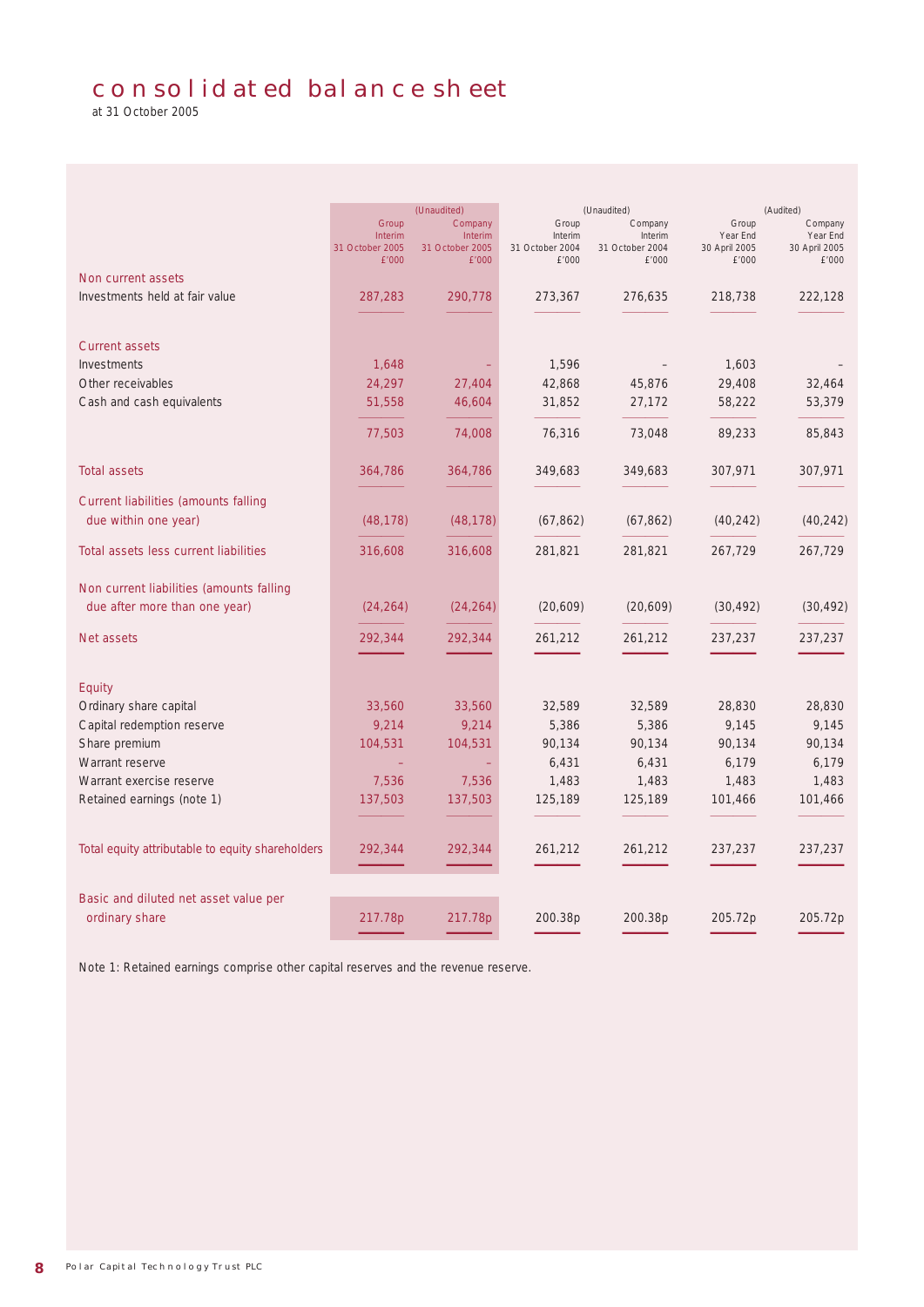# consolidated balance sheet

at 31 October 2005

|                                                         | Group<br><b>Interim</b><br>31 October 2005<br>£'000 | (Unaudited)<br>Company<br><b>Interim</b><br>31 October 2005<br>£'000 | Group<br>Interim<br>31 October 2004<br>£'000 | (Unaudited)<br>Company<br>Interim<br>31 October 2004<br>£'000 |           | (Audited)<br>Company<br>Year End<br>30 April 2005<br>£'000 |
|---------------------------------------------------------|-----------------------------------------------------|----------------------------------------------------------------------|----------------------------------------------|---------------------------------------------------------------|-----------|------------------------------------------------------------|
| Non current assets                                      |                                                     |                                                                      |                                              |                                                               |           |                                                            |
| Investments held at fair value                          | 287,283                                             | 290,778                                                              | 273,367                                      | 276,635                                                       | 218,738   | 222,128                                                    |
|                                                         |                                                     |                                                                      |                                              |                                                               |           |                                                            |
| <b>Current assets</b>                                   |                                                     |                                                                      |                                              |                                                               |           |                                                            |
| Investments                                             | 1,648                                               |                                                                      | 1,596                                        |                                                               | 1,603     |                                                            |
| Other receivables                                       |                                                     |                                                                      |                                              |                                                               | 29,408    |                                                            |
|                                                         | 24,297                                              | 27,404                                                               | 42,868                                       | 45,876                                                        |           | 32,464                                                     |
| Cash and cash equivalents                               | 51,558                                              | 46,604                                                               | 31,852                                       | 27,172                                                        | 58,222    | 53,379                                                     |
|                                                         | 77,503                                              | 74,008                                                               | 76,316                                       | 73,048                                                        | 89,233    | 85,843                                                     |
| <b>Total assets</b>                                     | 364,786                                             | 364,786                                                              | 349,683                                      | 349,683                                                       | 307,971   | 307,971                                                    |
| <b>Current liabilities (amounts falling</b>             |                                                     |                                                                      |                                              |                                                               |           |                                                            |
| due within one year)                                    |                                                     |                                                                      |                                              |                                                               |           |                                                            |
|                                                         | (48, 178)                                           | (48, 178)                                                            | (67, 862)                                    | (67, 862)                                                     | (40, 242) | (40, 242)                                                  |
| Total assets less current liabilities                   | 316,608                                             | 316,608                                                              | 281,821                                      | 281,821                                                       | 267,729   | 267,729                                                    |
| Non current liabilities (amounts falling                |                                                     |                                                                      |                                              |                                                               |           |                                                            |
| due after more than one year)                           | (24, 264)                                           | (24, 264)                                                            | (20,609)                                     | (20,609)                                                      | (30, 492) | (30, 492)                                                  |
| <b>Net assets</b>                                       | 292,344                                             | 292,344                                                              | 261,212                                      | 261,212                                                       | 237,237   | 237,237                                                    |
|                                                         |                                                     |                                                                      |                                              |                                                               |           |                                                            |
| <b>Equity</b>                                           |                                                     |                                                                      |                                              |                                                               |           |                                                            |
| Ordinary share capital                                  | 33,560                                              | 33,560                                                               | 32,589                                       | 32,589                                                        | 28,830    | 28,830                                                     |
| Capital redemption reserve                              | 9,214                                               | 9,214                                                                | 5,386                                        | 5,386                                                         | 9,145     | 9,145                                                      |
| Share premium                                           | 104,531                                             | 104,531                                                              | 90,134                                       | 90,134                                                        | 90,134    | 90,134                                                     |
| Warrant reserve                                         |                                                     |                                                                      | 6,431                                        | 6,431                                                         | 6,179     | 6,179                                                      |
| Warrant exercise reserve                                | 7,536                                               | 7,536                                                                | 1,483                                        | 1,483                                                         | 1,483     | 1,483                                                      |
| Retained earnings (note 1)                              | 137,503                                             | 137,503                                                              | 125,189                                      | 125,189                                                       | 101,466   | 101,466                                                    |
|                                                         |                                                     |                                                                      |                                              |                                                               |           |                                                            |
| Total equity attributable to equity shareholders        | 292,344                                             | 292,344                                                              | 261,212                                      | 261,212                                                       | 237,237   | 237,237                                                    |
|                                                         |                                                     |                                                                      |                                              |                                                               |           |                                                            |
|                                                         |                                                     |                                                                      |                                              |                                                               |           |                                                            |
| Basic and diluted net asset value per<br>ordinary share | 217.78p                                             | 217.78p                                                              | 200.38p                                      | 200.38p                                                       | 205.72p   | 205.72p                                                    |
|                                                         |                                                     |                                                                      |                                              |                                                               |           |                                                            |

Note 1: Retained earnings comprise other capital reserves and the revenue reserve.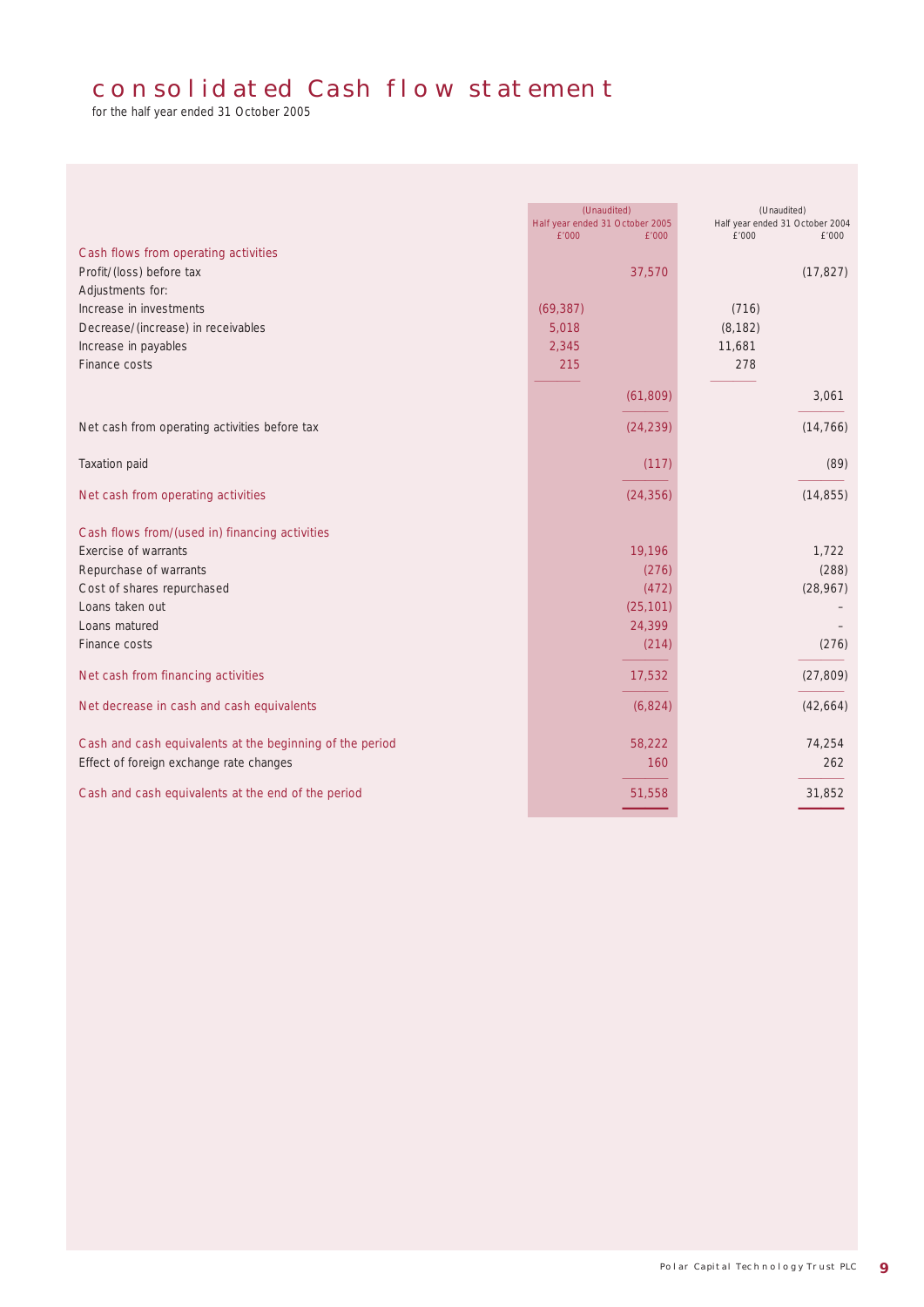# consolidated Cash flow statement

for the half year ended 31 October 2005

| Cash flows from operating activities                     | (Unaudited)<br>Half year ended 31 October 2005<br>£'000<br>£'000 | (Unaudited)<br>Half year ended 31 October 2004<br>£'000<br>£'000 |  |  |
|----------------------------------------------------------|------------------------------------------------------------------|------------------------------------------------------------------|--|--|
| Profit/(loss) before tax                                 | 37,570                                                           | (17, 827)                                                        |  |  |
| Adjustments for:<br>Increase in investments              | (69, 387)                                                        | (716)                                                            |  |  |
| Decrease/(increase) in receivables                       | 5,018                                                            | (8, 182)                                                         |  |  |
| Increase in payables                                     | 2,345                                                            | 11,681                                                           |  |  |
| Finance costs                                            | 215                                                              | 278                                                              |  |  |
|                                                          |                                                                  |                                                                  |  |  |
|                                                          | (61, 809)                                                        | 3,061                                                            |  |  |
| Net cash from operating activities before tax            | (24, 239)                                                        | (14, 766)                                                        |  |  |
| Taxation paid                                            | (117)                                                            | (89)                                                             |  |  |
| Net cash from operating activities                       | (24, 356)                                                        | (14, 855)                                                        |  |  |
| Cash flows from/(used in) financing activities           |                                                                  |                                                                  |  |  |
| Exercise of warrants                                     | 19,196                                                           | 1,722                                                            |  |  |
| Repurchase of warrants                                   | (276)                                                            | (288)                                                            |  |  |
| Cost of shares repurchased                               | (472)                                                            | (28, 967)                                                        |  |  |
| Loans taken out                                          | (25, 101)                                                        |                                                                  |  |  |
| Loans matured<br>Finance costs                           | 24,399<br>(214)                                                  | (276)                                                            |  |  |
|                                                          |                                                                  |                                                                  |  |  |
| Net cash from financing activities                       | 17,532                                                           | (27, 809)                                                        |  |  |
| Net decrease in cash and cash equivalents                | (6,824)                                                          | (42, 664)                                                        |  |  |
| Cash and cash equivalents at the beginning of the period | 58,222                                                           | 74,254                                                           |  |  |
| Effect of foreign exchange rate changes                  | 160                                                              | 262                                                              |  |  |
| Cash and cash equivalents at the end of the period       | 51,558                                                           | 31,852                                                           |  |  |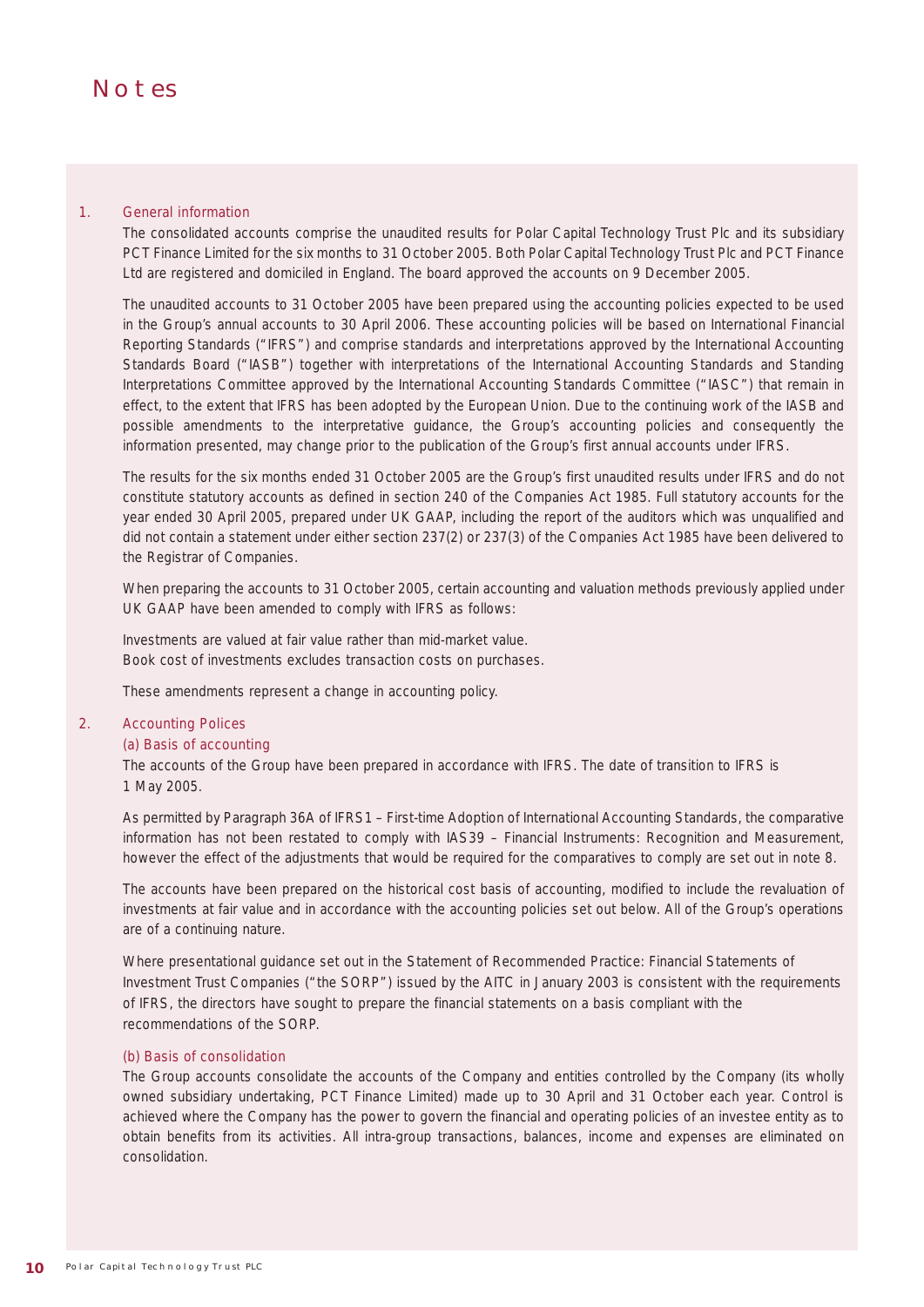# **NOTES**

#### 1. General information

The consolidated accounts comprise the unaudited results for Polar Capital Technology Trust Plc and its subsidiary PCT Finance Limited for the six months to 31 October 2005. Both Polar Capital Technology Trust Plc and PCT Finance Ltd are registered and domiciled in England. The board approved the accounts on 9 December 2005.

The unaudited accounts to 31 October 2005 have been prepared using the accounting policies expected to be used in the Group's annual accounts to 30 April 2006. These accounting policies will be based on International Financial Reporting Standards ("IFRS") and comprise standards and interpretations approved by the International Accounting Standards Board ("IASB") together with interpretations of the International Accounting Standards and Standing Interpretations Committee approved by the International Accounting Standards Committee ("IASC") that remain in effect, to the extent that IFRS has been adopted by the European Union. Due to the continuing work of the IASB and possible amendments to the interpretative guidance, the Group's accounting policies and consequently the information presented, may change prior to the publication of the Group's first annual accounts under IFRS.

The results for the six months ended 31 October 2005 are the Group's first unaudited results under IFRS and do not constitute statutory accounts as defined in section 240 of the Companies Act 1985. Full statutory accounts for the year ended 30 April 2005, prepared under UK GAAP, including the report of the auditors which was unqualified and did not contain a statement under either section 237(2) or 237(3) of the Companies Act 1985 have been delivered to the Registrar of Companies.

When preparing the accounts to 31 October 2005, certain accounting and valuation methods previously applied under UK GAAP have been amended to comply with IFRS as follows:

Investments are valued at fair value rather than mid-market value. Book cost of investments excludes transaction costs on purchases.

These amendments represent a change in accounting policy.

#### 2. Accounting Polices

#### (a) Basis of accounting

The accounts of the Group have been prepared in accordance with IFRS. The date of transition to IFRS is 1 May 2005.

As permitted by Paragraph 36A of IFRS1 – First-time Adoption of International Accounting Standards, the comparative information has not been restated to comply with IAS39 – Financial Instruments: Recognition and Measurement, however the effect of the adjustments that would be required for the comparatives to comply are set out in note 8.

The accounts have been prepared on the historical cost basis of accounting, modified to include the revaluation of investments at fair value and in accordance with the accounting policies set out below. All of the Group's operations are of a continuing nature.

Where presentational guidance set out in the Statement of Recommended Practice: Financial Statements of Investment Trust Companies ("the SORP") issued by the AITC in January 2003 is consistent with the requirements of IFRS, the directors have sought to prepare the financial statements on a basis compliant with the recommendations of the SORP.

#### (b) Basis of consolidation

The Group accounts consolidate the accounts of the Company and entities controlled by the Company (its wholly owned subsidiary undertaking, PCT Finance Limited) made up to 30 April and 31 October each year. Control is achieved where the Company has the power to govern the financial and operating policies of an investee entity as to obtain benefits from its activities. All intra-group transactions, balances, income and expenses are eliminated on consolidation.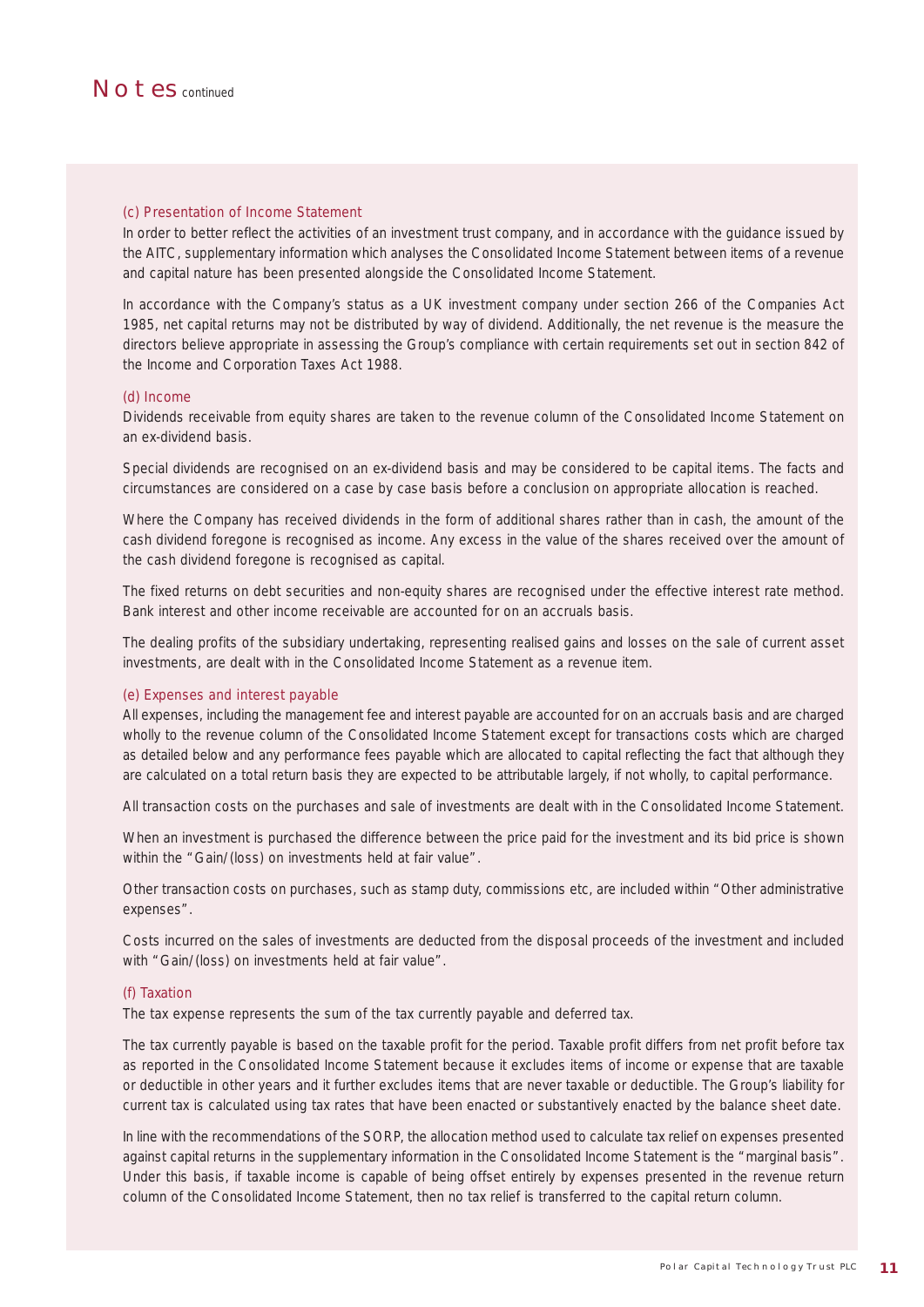

#### (c) Presentation of Income Statement

In order to better reflect the activities of an investment trust company, and in accordance with the guidance issued by the AITC, supplementary information which analyses the Consolidated Income Statement between items of a revenue and capital nature has been presented alongside the Consolidated Income Statement.

In accordance with the Company's status as a UK investment company under section 266 of the Companies Act 1985, net capital returns may not be distributed by way of dividend. Additionally, the net revenue is the measure the directors believe appropriate in assessing the Group's compliance with certain requirements set out in section 842 of the Income and Corporation Taxes Act 1988.

#### (d) Income

Dividends receivable from equity shares are taken to the revenue column of the Consolidated Income Statement on an ex-dividend basis.

Special dividends are recognised on an ex-dividend basis and may be considered to be capital items. The facts and circumstances are considered on a case by case basis before a conclusion on appropriate allocation is reached.

Where the Company has received dividends in the form of additional shares rather than in cash, the amount of the cash dividend foregone is recognised as income. Any excess in the value of the shares received over the amount of the cash dividend foregone is recognised as capital.

The fixed returns on debt securities and non-equity shares are recognised under the effective interest rate method. Bank interest and other income receivable are accounted for on an accruals basis.

The dealing profits of the subsidiary undertaking, representing realised gains and losses on the sale of current asset investments, are dealt with in the Consolidated Income Statement as a revenue item.

#### (e) Expenses and interest payable

All expenses, including the management fee and interest payable are accounted for on an accruals basis and are charged wholly to the revenue column of the Consolidated Income Statement except for transactions costs which are charged as detailed below and any performance fees payable which are allocated to capital reflecting the fact that although they are calculated on a total return basis they are expected to be attributable largely, if not wholly, to capital performance.

All transaction costs on the purchases and sale of investments are dealt with in the Consolidated Income Statement.

When an investment is purchased the difference between the price paid for the investment and its bid price is shown within the "Gain/(loss) on investments held at fair value".

Other transaction costs on purchases, such as stamp duty, commissions etc, are included within "Other administrative expenses".

Costs incurred on the sales of investments are deducted from the disposal proceeds of the investment and included with "Gain/(loss) on investments held at fair value".

#### (f) Taxation

The tax expense represents the sum of the tax currently payable and deferred tax.

The tax currently payable is based on the taxable profit for the period. Taxable profit differs from net profit before tax as reported in the Consolidated Income Statement because it excludes items of income or expense that are taxable or deductible in other years and it further excludes items that are never taxable or deductible. The Group's liability for current tax is calculated using tax rates that have been enacted or substantively enacted by the balance sheet date.

In line with the recommendations of the SORP, the allocation method used to calculate tax relief on expenses presented against capital returns in the supplementary information in the Consolidated Income Statement is the "marginal basis". Under this basis, if taxable income is capable of being offset entirely by expenses presented in the revenue return column of the Consolidated Income Statement, then no tax relief is transferred to the capital return column.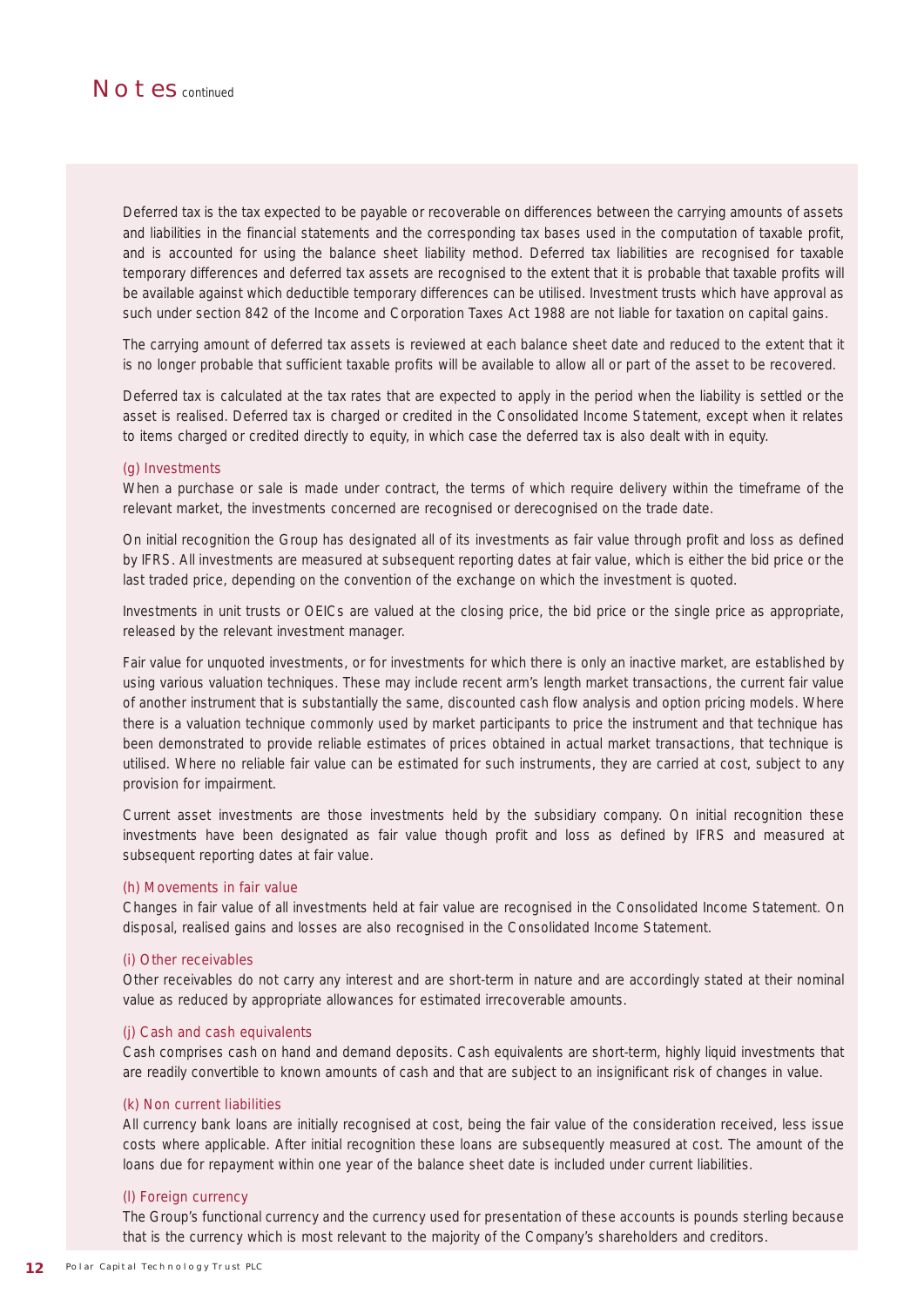

Deferred tax is the tax expected to be payable or recoverable on differences between the carrying amounts of assets and liabilities in the financial statements and the corresponding tax bases used in the computation of taxable profit, and is accounted for using the balance sheet liability method. Deferred tax liabilities are recognised for taxable temporary differences and deferred tax assets are recognised to the extent that it is probable that taxable profits will be available against which deductible temporary differences can be utilised. Investment trusts which have approval as such under section 842 of the Income and Corporation Taxes Act 1988 are not liable for taxation on capital gains.

The carrying amount of deferred tax assets is reviewed at each balance sheet date and reduced to the extent that it is no longer probable that sufficient taxable profits will be available to allow all or part of the asset to be recovered.

Deferred tax is calculated at the tax rates that are expected to apply in the period when the liability is settled or the asset is realised. Deferred tax is charged or credited in the Consolidated Income Statement, except when it relates to items charged or credited directly to equity, in which case the deferred tax is also dealt with in equity.

#### (g) Investments

When a purchase or sale is made under contract, the terms of which require delivery within the timeframe of the relevant market, the investments concerned are recognised or derecognised on the trade date.

On initial recognition the Group has designated all of its investments as fair value through profit and loss as defined by IFRS. All investments are measured at subsequent reporting dates at fair value, which is either the bid price or the last traded price, depending on the convention of the exchange on which the investment is quoted.

Investments in unit trusts or OEICs are valued at the closing price, the bid price or the single price as appropriate, released by the relevant investment manager.

Fair value for unquoted investments, or for investments for which there is only an inactive market, are established by using various valuation techniques. These may include recent arm's length market transactions, the current fair value of another instrument that is substantially the same, discounted cash flow analysis and option pricing models. Where there is a valuation technique commonly used by market participants to price the instrument and that technique has been demonstrated to provide reliable estimates of prices obtained in actual market transactions, that technique is utilised. Where no reliable fair value can be estimated for such instruments, they are carried at cost, subject to any provision for impairment.

Current asset investments are those investments held by the subsidiary company. On initial recognition these investments have been designated as fair value though profit and loss as defined by IFRS and measured at subsequent reporting dates at fair value.

#### (h) Movements in fair value

Changes in fair value of all investments held at fair value are recognised in the Consolidated Income Statement. On disposal, realised gains and losses are also recognised in the Consolidated Income Statement.

#### (i) Other receivables

Other receivables do not carry any interest and are short-term in nature and are accordingly stated at their nominal value as reduced by appropriate allowances for estimated irrecoverable amounts.

#### (j) Cash and cash equivalents

Cash comprises cash on hand and demand deposits. Cash equivalents are short-term, highly liquid investments that are readily convertible to known amounts of cash and that are subject to an insignificant risk of changes in value.

#### (k) Non current liabilities

All currency bank loans are initially recognised at cost, being the fair value of the consideration received, less issue costs where applicable. After initial recognition these loans are subsequently measured at cost. The amount of the loans due for repayment within one year of the balance sheet date is included under current liabilities.

#### (l) Foreign currency

The Group's functional currency and the currency used for presentation of these accounts is pounds sterling because that is the currency which is most relevant to the majority of the Company's shareholders and creditors.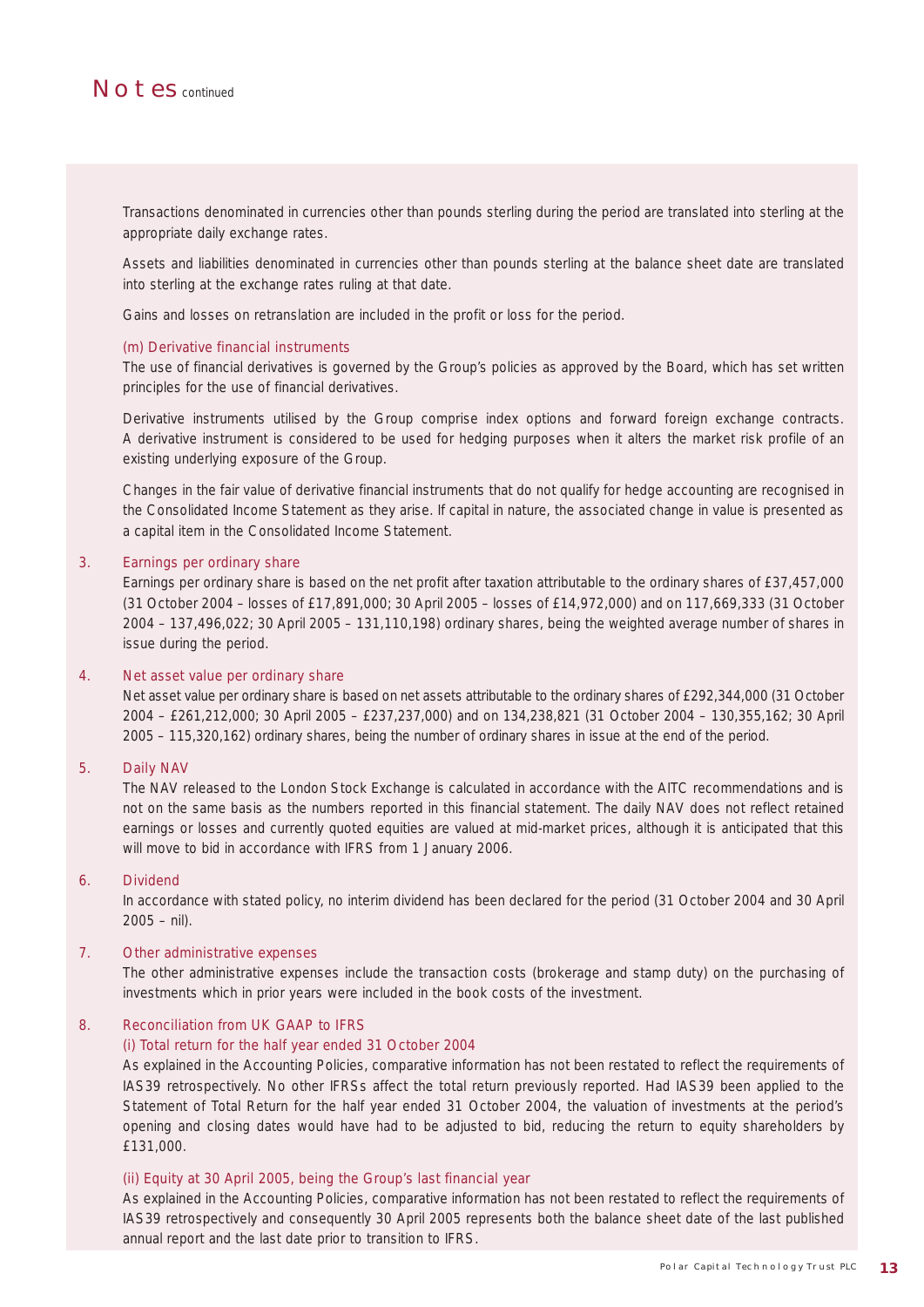

Transactions denominated in currencies other than pounds sterling during the period are translated into sterling at the appropriate daily exchange rates.

Assets and liabilities denominated in currencies other than pounds sterling at the balance sheet date are translated into sterling at the exchange rates ruling at that date.

Gains and losses on retranslation are included in the profit or loss for the period.

#### (m) Derivative financial instruments

The use of financial derivatives is governed by the Group's policies as approved by the Board, which has set written principles for the use of financial derivatives.

Derivative instruments utilised by the Group comprise index options and forward foreign exchange contracts. A derivative instrument is considered to be used for hedging purposes when it alters the market risk profile of an existing underlying exposure of the Group.

Changes in the fair value of derivative financial instruments that do not qualify for hedge accounting are recognised in the Consolidated Income Statement as they arise. If capital in nature, the associated change in value is presented as a capital item in the Consolidated Income Statement.

#### 3. Earnings per ordinary share

Earnings per ordinary share is based on the net profit after taxation attributable to the ordinary shares of £37,457,000 (31 October 2004 – losses of £17,891,000; 30 April 2005 – losses of £14,972,000) and on 117,669,333 (31 October 2004 – 137,496,022; 30 April 2005 – 131,110,198) ordinary shares, being the weighted average number of shares in issue during the period.

#### 4. Net asset value per ordinary share

Net asset value per ordinary share is based on net assets attributable to the ordinary shares of £292,344,000 (31 October 2004 – £261,212,000; 30 April 2005 – £237,237,000) and on 134,238,821 (31 October 2004 – 130,355,162; 30 April 2005 – 115,320,162) ordinary shares, being the number of ordinary shares in issue at the end of the period.

#### 5. Daily NAV

The NAV released to the London Stock Exchange is calculated in accordance with the AITC recommendations and is not on the same basis as the numbers reported in this financial statement. The daily NAV does not reflect retained earnings or losses and currently quoted equities are valued at mid-market prices, although it is anticipated that this will move to bid in accordance with IFRS from 1 January 2006.

#### 6. Dividend

In accordance with stated policy, no interim dividend has been declared for the period (31 October 2004 and 30 April  $2005 - nil$ ).

#### 7. Other administrative expenses

The other administrative expenses include the transaction costs (brokerage and stamp duty) on the purchasing of investments which in prior years were included in the book costs of the investment.

#### 8. Reconciliation from UK GAAP to IFRS

#### (i) Total return for the half year ended 31 October 2004

As explained in the Accounting Policies, comparative information has not been restated to reflect the requirements of IAS39 retrospectively. No other IFRSs affect the total return previously reported. Had IAS39 been applied to the Statement of Total Return for the half year ended 31 October 2004, the valuation of investments at the period's opening and closing dates would have had to be adjusted to bid, reducing the return to equity shareholders by £131,000.

#### (ii) Equity at 30 April 2005, being the Group's last financial year

As explained in the Accounting Policies, comparative information has not been restated to reflect the requirements of IAS39 retrospectively and consequently 30 April 2005 represents both the balance sheet date of the last published annual report and the last date prior to transition to IFRS.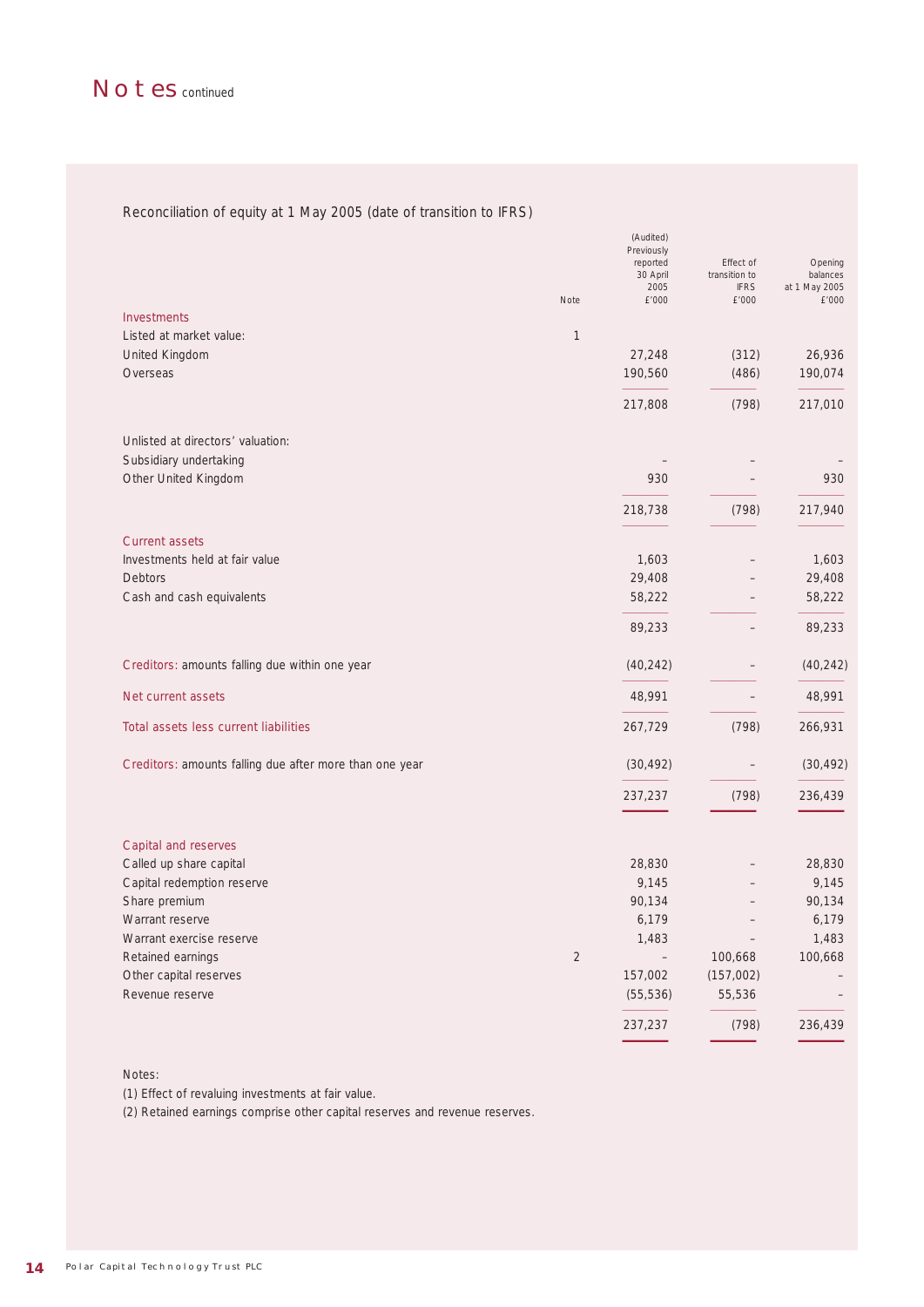### Reconciliation of equity at 1 May 2005 (date of transition to IFRS)

|                                                         | Note           | (Audited)<br>Previously<br>reported<br>30 April<br>2005<br>£'000 | Effect of<br>transition to<br><b>IFRS</b><br>£'000 | Opening<br>balances<br>at 1 May 2005<br>£'000 |
|---------------------------------------------------------|----------------|------------------------------------------------------------------|----------------------------------------------------|-----------------------------------------------|
| <b>Investments</b>                                      |                |                                                                  |                                                    |                                               |
| Listed at market value:                                 | $\mathbf{1}$   |                                                                  |                                                    |                                               |
| United Kingdom                                          |                | 27,248                                                           | (312)                                              | 26,936                                        |
| Overseas                                                |                | 190,560                                                          | (486)                                              | 190,074                                       |
|                                                         |                | 217,808                                                          | (798)                                              | 217,010                                       |
| Unlisted at directors' valuation:                       |                |                                                                  |                                                    |                                               |
| Subsidiary undertaking                                  |                |                                                                  |                                                    |                                               |
| Other United Kingdom                                    |                | 930                                                              |                                                    | 930                                           |
|                                                         |                | 218,738                                                          | (798)                                              | 217,940                                       |
| <b>Current assets</b>                                   |                |                                                                  |                                                    |                                               |
| Investments held at fair value                          |                | 1,603                                                            |                                                    | 1,603                                         |
| Debtors                                                 |                | 29,408                                                           |                                                    | 29,408                                        |
| Cash and cash equivalents                               |                | 58,222                                                           |                                                    | 58,222                                        |
|                                                         |                | 89,233                                                           |                                                    | 89,233                                        |
| Creditors: amounts falling due within one year          |                | (40, 242)                                                        |                                                    | (40, 242)                                     |
| Net current assets                                      |                | 48,991                                                           |                                                    | 48,991                                        |
| Total assets less current liabilities                   |                | 267,729                                                          | (798)                                              | 266,931                                       |
| Creditors: amounts falling due after more than one year |                | (30, 492)                                                        |                                                    | (30, 492)                                     |
|                                                         |                | 237,237                                                          | (798)                                              | 236,439                                       |
| <b>Capital and reserves</b>                             |                |                                                                  |                                                    |                                               |
| Called up share capital                                 |                | 28,830                                                           |                                                    | 28,830                                        |
| Capital redemption reserve                              |                | 9,145                                                            |                                                    | 9,145                                         |
| Share premium                                           |                | 90,134                                                           |                                                    | 90,134                                        |
| Warrant reserve                                         |                | 6,179                                                            |                                                    | 6,179                                         |
| Warrant exercise reserve                                |                | 1,483                                                            |                                                    | 1,483                                         |
| Retained earnings                                       | $\overline{2}$ | $\overline{\phantom{m}}$                                         | 100,668                                            | 100,668                                       |
| Other capital reserves                                  |                | 157,002                                                          | (157,002)                                          |                                               |
| Revenue reserve                                         |                | (55, 536)                                                        | 55,536                                             |                                               |
|                                                         |                | 237,237                                                          | (798)                                              | 236,439                                       |

Notes:

(1) Effect of revaluing investments at fair value.

(2) Retained earnings comprise other capital reserves and revenue reserves.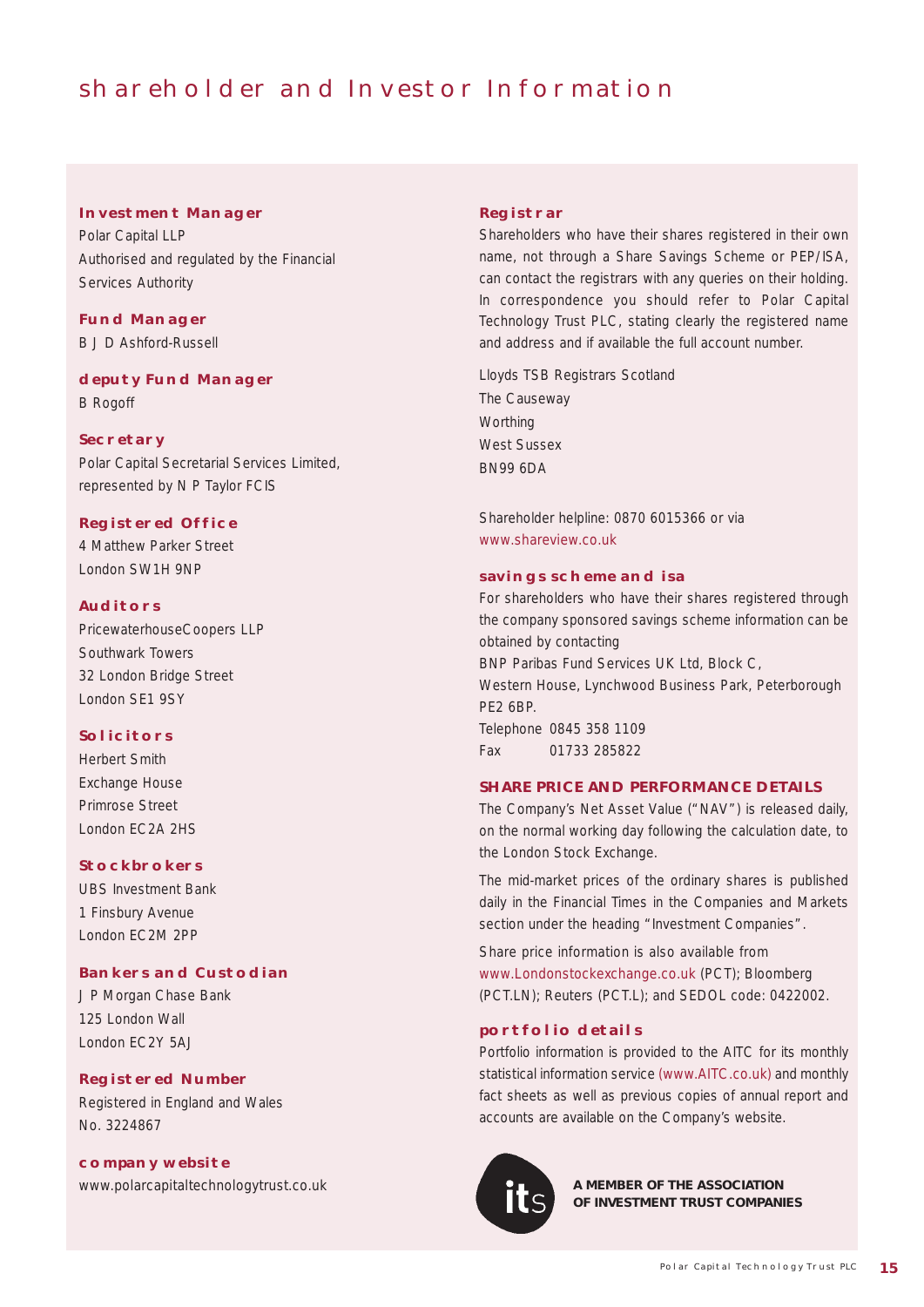# shareholder and Investor Information

### **Investment Manager**

Polar Capital LLP Authorised and regulated by the Financial Services Authority

### **Fund Manager**

B J D Ashford-Russell

### **deputy Fund Manager**

B Rogoff

### **SECRETARY**

Polar Capital Secretarial Services Limited, represented by N P Taylor FCIS

### **Registered Office**

4 Matthew Parker Street London SW1H 9NP

### **Auditors**

PricewaterhouseCoopers LLP Southwark Towers 32 London Bridge Street London SE1 9SY

### **SOLICITORS**

Herbert Smith Exchange House Primrose Street London EC2A 2HS

### **STOCKBROKERS**

UBS Investment Bank 1 Finsbury Avenue London EC2M 2PP

### **Bankers and Custodian**

J P Morgan Chase Bank 125 London Wall London EC2Y 5AJ

### **Registered Number**

Registered in England and Wales No. 3224867

### **company website**

www.polarcapitaltechnologytrust.co.uk

#### **Registrar**

Shareholders who have their shares registered in their own name, not through a Share Savings Scheme or PEP/ISA, can contact the registrars with any queries on their holding. In correspondence you should refer to Polar Capital Technology Trust PLC, stating clearly the registered name and address and if available the full account number.

Lloyds TSB Registrars Scotland The Causeway **Worthing** West Sussex BN99 6DA

Shareholder helpline: 0870 6015366 or via www.shareview.co.uk

### **savings scheme and isa**

For shareholders who have their shares registered through the company sponsored savings scheme information can be obtained by contacting BNP Paribas Fund Services UK Ltd, Block C, Western House, Lynchwood Business Park, Peterborough PE2 6BP. Telephone 0845 358 1109 Fax 01733 285822

### **SHARE PRICE AND PERFORMANCE DETAILS**

The Company's Net Asset Value ("NAV") is released daily, on the normal working day following the calculation date, to the London Stock Exchange.

The mid-market prices of the ordinary shares is published daily in the Financial Times in the Companies and Markets section under the heading "Investment Companies".

Share price information is also available from www.Londonstockexchange.co.uk (PCT); Bloomberg (PCT.LN); Reuters (PCT.L); and SEDOL code: 0422002.

### **portfolio details**

Portfolio information is provided to the AITC for its monthly statistical information service (www.AITC.co.uk) and monthly fact sheets as well as previous copies of annual report and accounts are available on the Company's website.



**A MEMBER OF THE ASSOCIATION OF INVESTMENT TRUST COMPANIES**